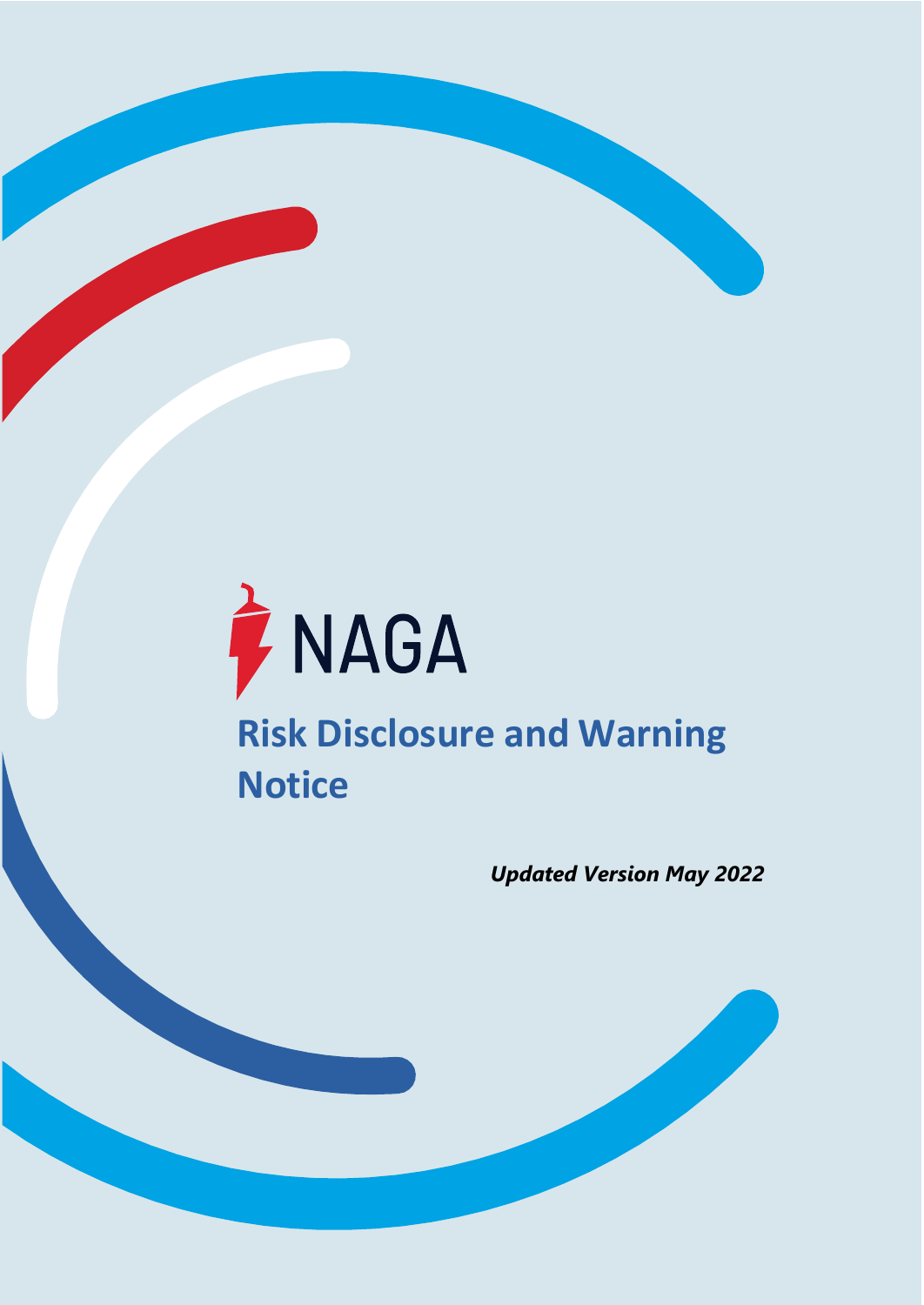

**NAGA Markets Europe Ltd** -1- **[www.naga.com](http://www.naga.com/)** CIF License No. 204/13 **[support@nagamarkets.com](mailto:support@nagamarkets.com)**

*Updated Version May 2022*

**Risk Disclosure and Warning Notice**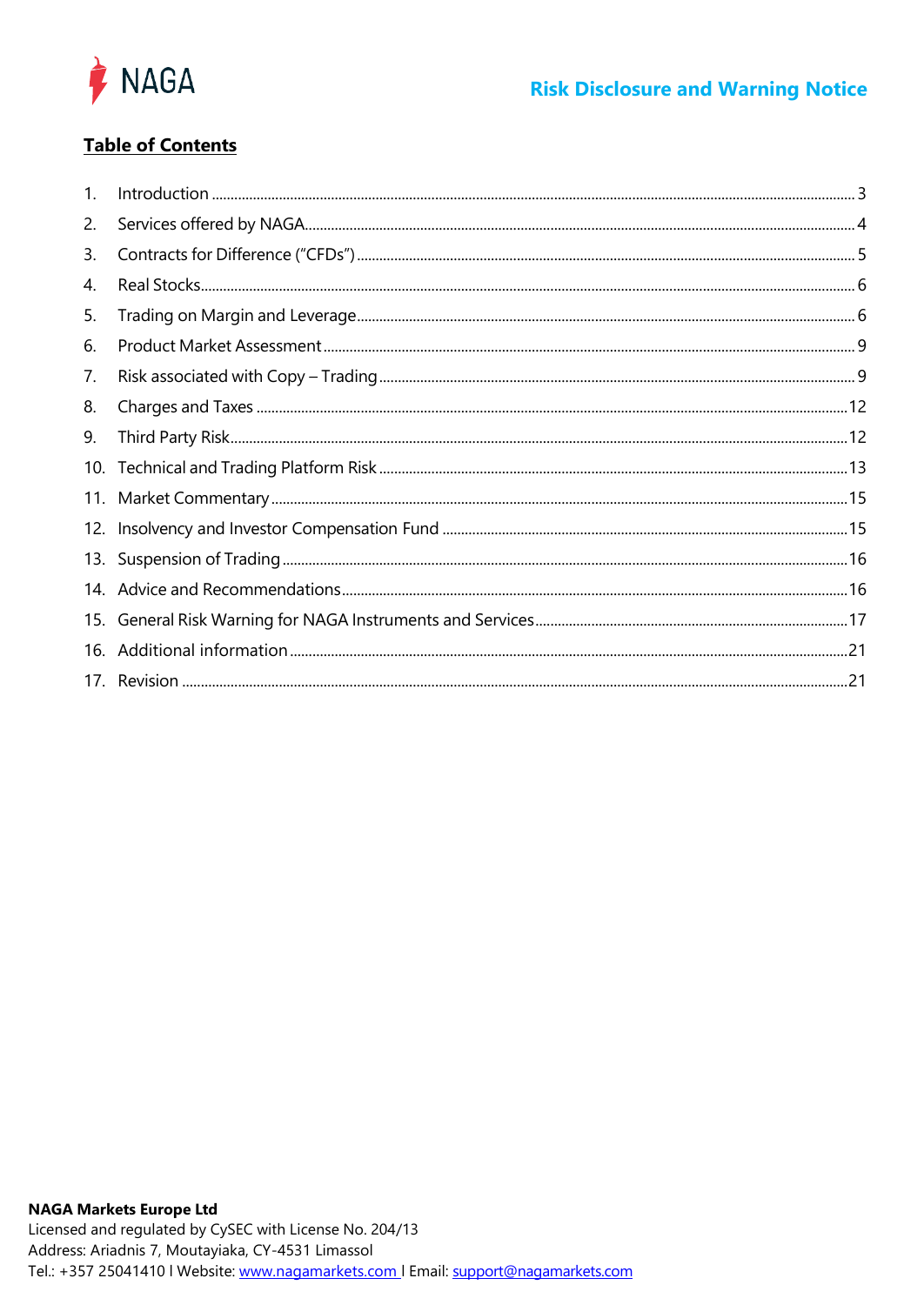

# **Table of Contents**

| 1.  |  |
|-----|--|
| 2.  |  |
| 3.  |  |
| 4.  |  |
| 5.  |  |
| 6.  |  |
| 7.  |  |
| 8.  |  |
| 9.  |  |
|     |  |
|     |  |
|     |  |
|     |  |
|     |  |
|     |  |
| 16. |  |
|     |  |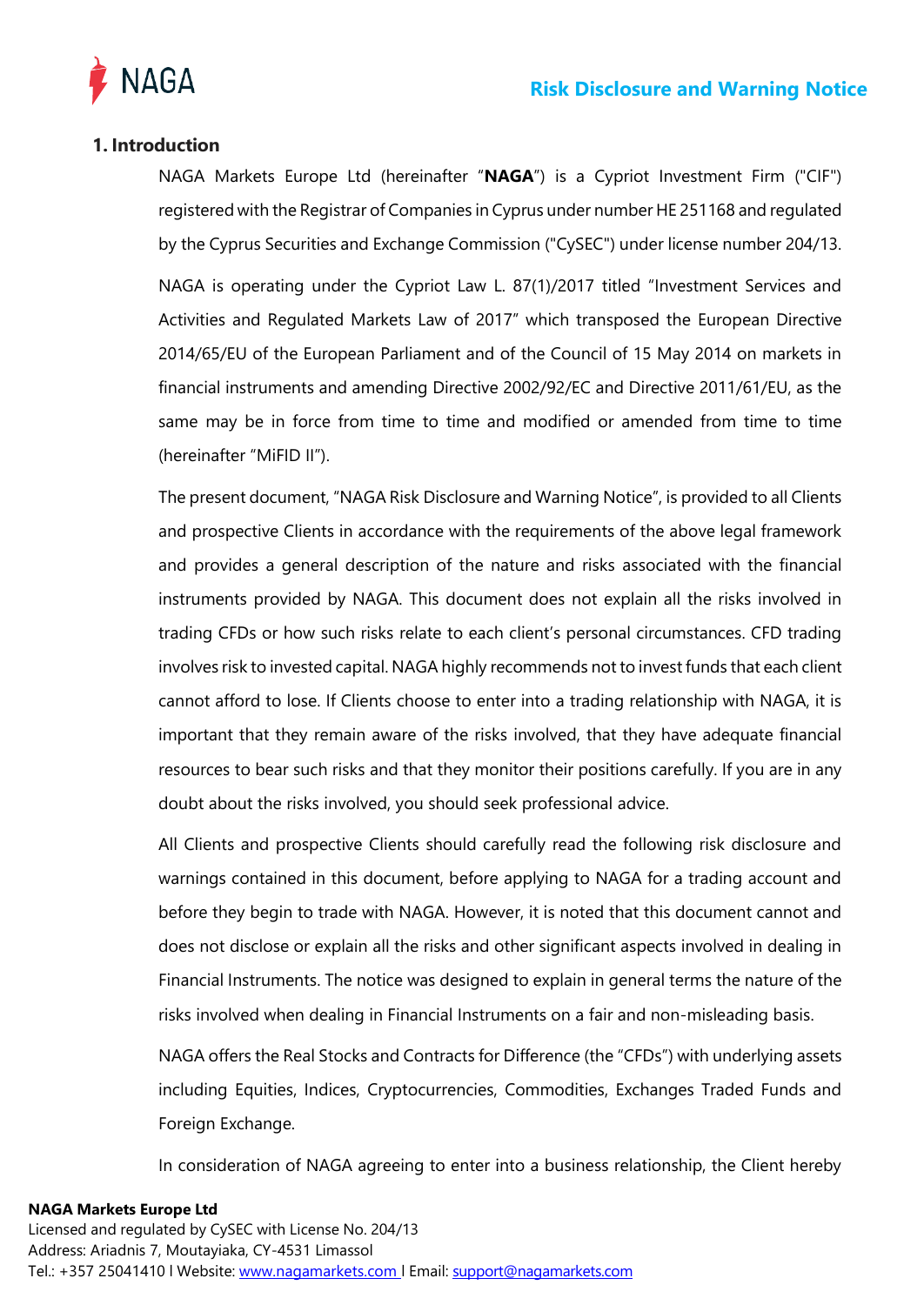

# <span id="page-2-0"></span>**1. Introduction**

NAGA Markets Europe Ltd (hereinafter "**NAGA**") is a Cypriot Investment Firm ("CIF") registered with the Registrar of Companies in Cyprus under number HE 251168 and regulated by the Cyprus Securities and Exchange Commission ("CySEC") under license number 204/13. NAGA is operating under the Cypriot Law L. 87(1)/2017 titled "Investment Services and Activities and Regulated Markets Law of 2017" which transposed the European Directive 2014/65/EU of the European Parliament and of the Council of 15 May 2014 on markets in financial instruments and amending Directive 2002/92/EC and Directive 2011/61/EU, as the same may be in force from time to time and modified or amended from time to time (hereinafter "MiFID II").

The present document, "NAGA Risk Disclosure and Warning Notice", is provided to all Clients and prospective Clients in accordance with the requirements of the above legal framework and provides a general description of the nature and risks associated with the financial instruments provided by NAGA. This document does not explain all the risks involved in trading CFDs or how such risks relate to each client's personal circumstances. CFD trading involves risk to invested capital. NAGA highly recommends not to invest funds that each client cannot afford to lose. If Clients choose to enter into a trading relationship with NAGA, it is important that they remain aware of the risks involved, that they have adequate financial resources to bear such risks and that they monitor their positions carefully. If you are in any doubt about the risks involved, you should seek professional advice.

All Clients and prospective Clients should carefully read the following risk disclosure and warnings contained in this document, before applying to NAGA for a trading account and before they begin to trade with NAGA. However, it is noted that this document cannot and does not disclose or explain all the risks and other significant aspects involved in dealing in Financial Instruments. The notice was designed to explain in general terms the nature of the risks involved when dealing in Financial Instruments on a fair and non-misleading basis.

NAGA offers the Real Stocks and Contracts for Difference (the "CFDs") with underlying assets including Equities, Indices, Cryptocurrencies, Commodities, Exchanges Traded Funds and Foreign Exchange.

In consideration of NAGA agreeing to enter into a business relationship, the Client hereby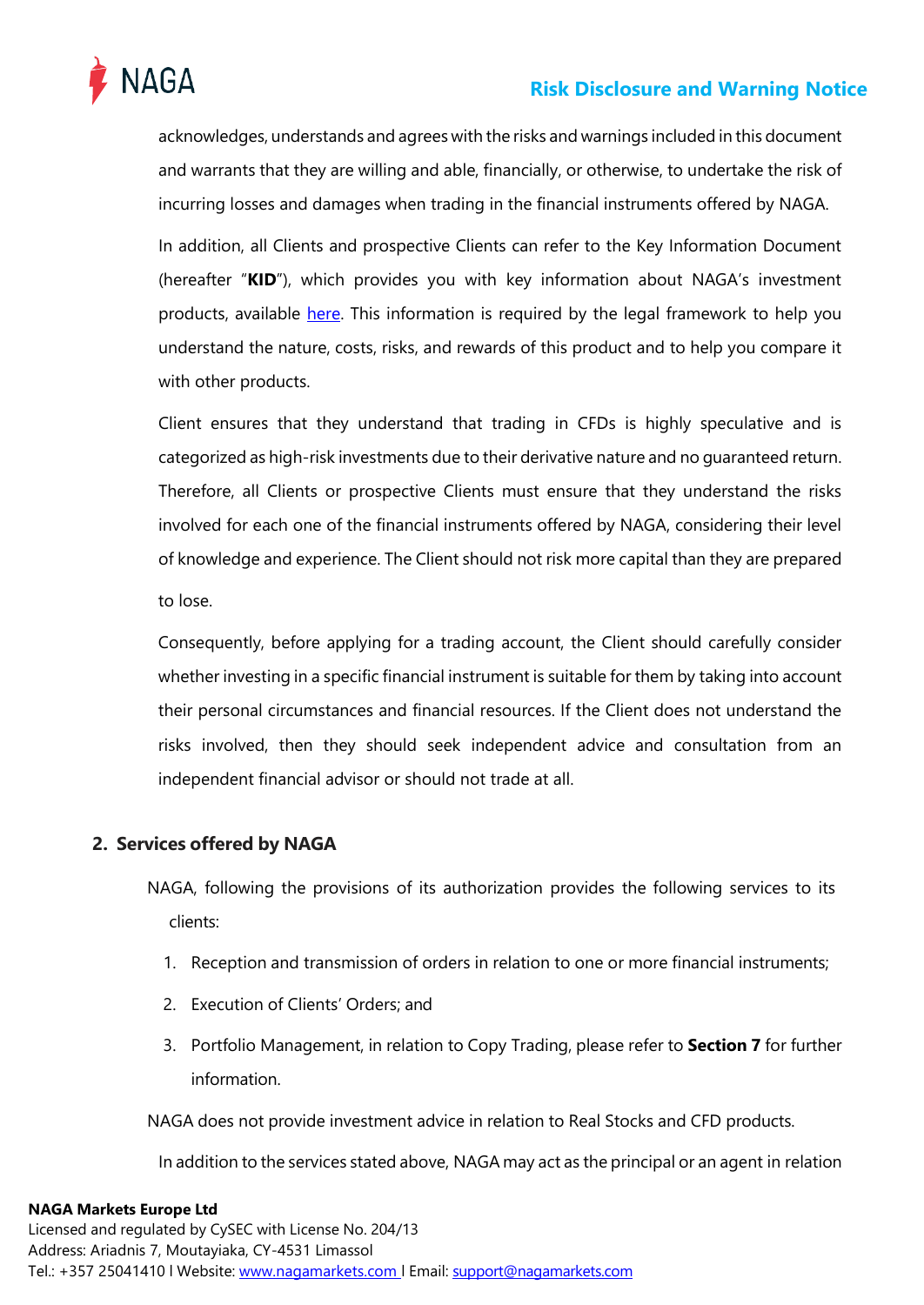

acknowledges, understands and agrees with the risks and warnings included in this document and warrants that they are willing and able, financially, or otherwise, to undertake the risk of incurring losses and damages when trading in the financial instruments offered by NAGA.

In addition, all Clients and prospective Clients can refer to the Key Information Document (hereafter "**KID**"), which provides you with key information about NAGA's investment products, available [here. T](https://nagamarkets.com/legal-documentation)his information is required by the legal framework to help you understand the nature, costs, risks, and rewards of this product and to help you compare it with other products.

Client ensures that they understand that trading in CFDs is highly speculative and is categorized as high-risk investments due to their derivative nature and no guaranteed return. Therefore, all Clients or prospective Clients must ensure that they understand the risks involved for each one of the financial instruments offered by NAGA, considering their level of knowledge and experience. The Client should not risk more capital than they are prepared to lose.

Consequently, before applying for a trading account, the Client should carefully consider whether investing in a specific financial instrument is suitable for them by taking into account their personal circumstances and financial resources. If the Client does not understand the risks involved, then they should seek independent advice and consultation from an independent financial advisor or should not trade at all.

# <span id="page-3-0"></span>**2. Services offered by NAGA**

NAGA, following the provisions of its authorization provides the following services to its clients:

- 1. Reception and transmission of orders in relation to one or more financial instruments;
- 2. Execution of Clients' Orders; and
- 3. Portfolio Management, in relation to Copy Trading, please refer to **Section 7** for further information.

NAGA does not provide investment advice in relation to Real Stocks and CFD products.

In addition to the services stated above, NAGA may act as the principal or an agent in relation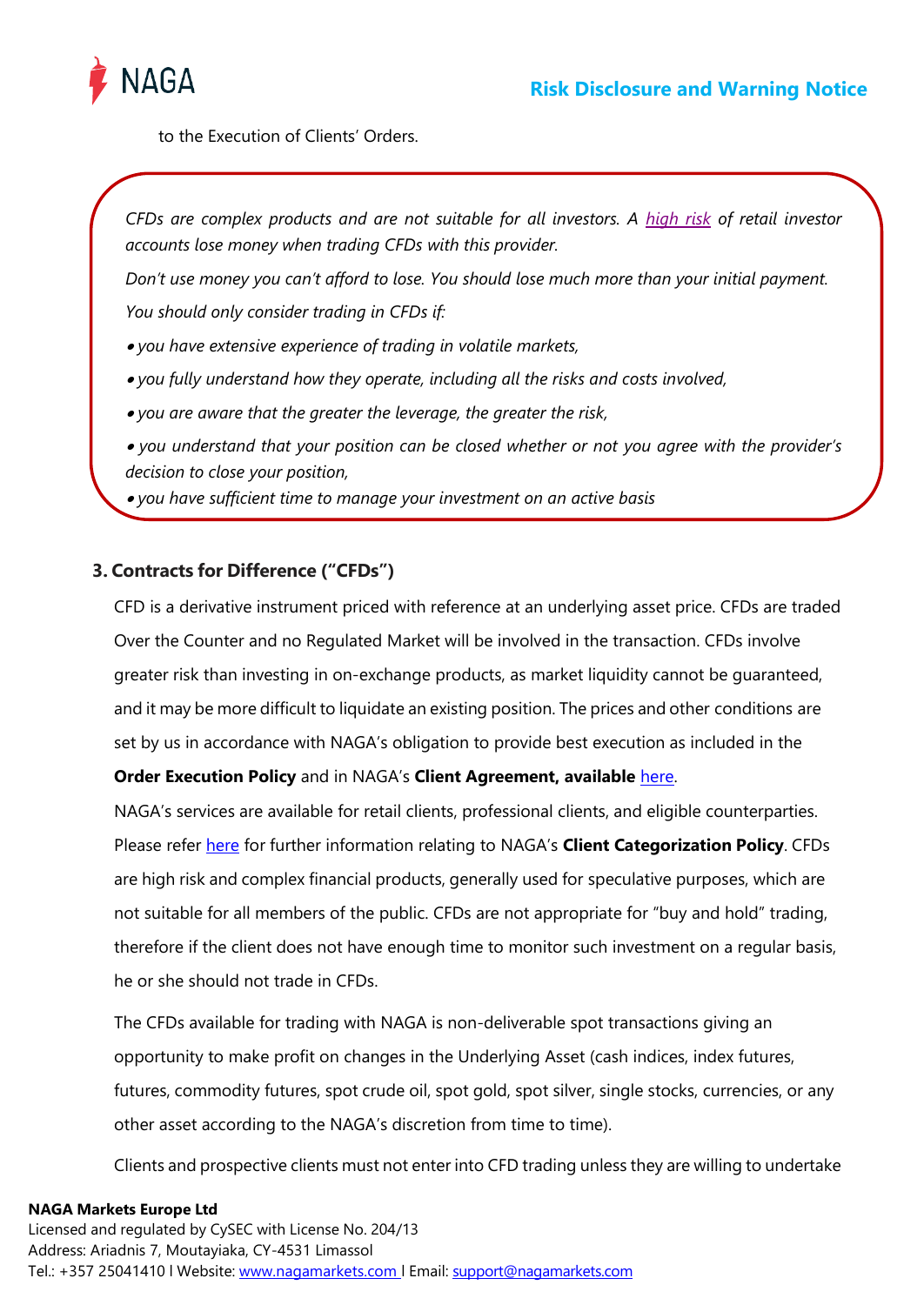

to the Execution of Clients' Orders.

*CFDs are complex products and are not suitable for all investors. A [high risk](https://nagamarkets.com/) of retail investor accounts lose money when trading CFDs with this provider.*

*Don't use money you can't afford to lose. You should lose much more than your initial payment. You should only consider trading in CFDs if:* 

• *you have extensive experience of trading in volatile markets,* 

• *you fully understand how they operate, including all the risks and costs involved,* 

• *you are aware that the greater the leverage, the greater the risk,* 

• *you understand that your position can be closed whether or not you agree with the provider's decision to close your position,*

• *you have sufficient time to manage your investment on an active basis*

# <span id="page-4-0"></span>**3. Contracts for Difference ("CFDs")**

CFD is a derivative instrument priced with reference at an underlying asset price. CFDs are traded Over the Counter and no Regulated Market will be involved in the transaction. CFDs involve greater risk than investing in on-exchange products, as market liquidity cannot be guaranteed, and it may be more difficult to liquidate an existing position. The prices and other conditions are set by us in accordance with NAGA's obligation to provide best execution as included in the

# **Order Execution Policy** and in NAGA's **Client Agreement, available** [here.](https://nagamarkets.com/legal-documentation)

NAGA's services are available for retail clients, professional clients, and eligible counterparties. Please refer [here](https://nagamarkets.com/legal-documentation) for further information relating to NAGA's **Client Categorization Policy**. CFDs are high risk and complex financial products, generally used for speculative purposes, which are not suitable for all members of the public. CFDs are not appropriate for "buy and hold" trading, therefore if the client does not have enough time to monitor such investment on a regular basis, he or she should not trade in CFDs.

The CFDs available for trading with NAGA is non-deliverable spot transactions giving an opportunity to make profit on changes in the Underlying Asset (cash indices, index futures, futures, commodity futures, spot crude oil, spot gold, spot silver, single stocks, currencies, or any other asset according to the NAGA's discretion from time to time).

Clients and prospective clients must not enter into CFD trading unless they are willing to undertake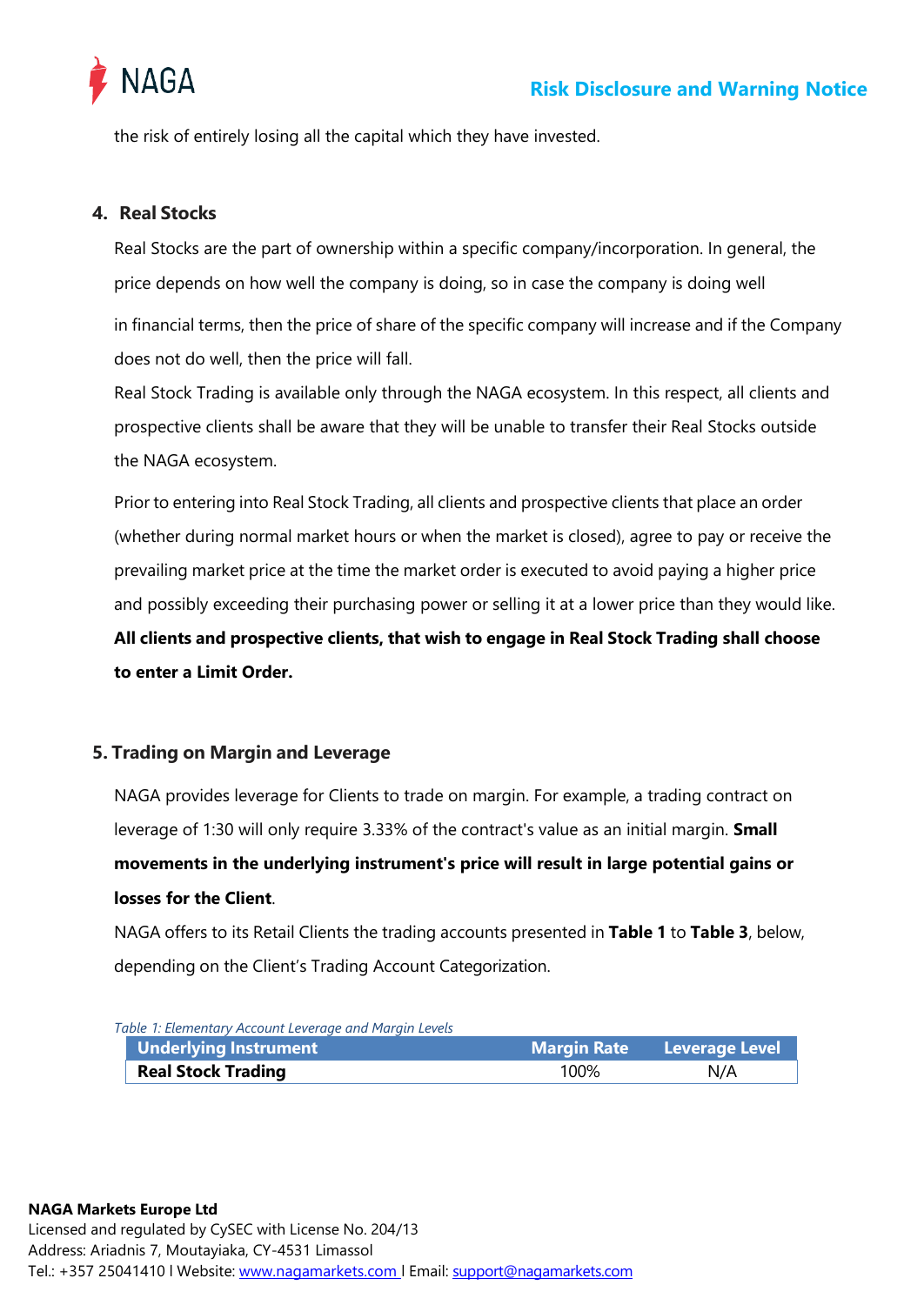

the risk of entirely losing all the capital which they have invested.

## <span id="page-5-0"></span>**4. Real Stocks**

Real Stocks are the part of ownership within a specific company/incorporation. In general, the price depends on how well the company is doing, so in case the company is doing well

in financial terms, then the price of share of the specific company will increase and if the Company does not do well, then the price will fall.

Real Stock Trading is available only through the NAGA ecosystem. In this respect, all clients and prospective clients shall be aware that they will be unable to transfer their Real Stocks outside the NAGA ecosystem.

Prior to entering into Real Stock Trading, all clients and prospective clients that place an order (whether during normal market hours or when the market is closed), agree to pay or receive the prevailing market price at the time the market order is executed to avoid paying a higher price and possibly exceeding their purchasing power or selling it at a lower price than they would like. **All clients and prospective clients, that wish to engage in Real Stock Trading shall choose** 

**to enter a Limit Order.**

## <span id="page-5-1"></span>**5. Trading on Margin and Leverage**

NAGA provides leverage for Clients to trade on margin. For example, a trading contract on leverage of 1:30 will only require 3.33% of the contract's value as an initial margin. **Small movements in the underlying instrument's price will result in large potential gains or losses for the Client**.

NAGA offers to its Retail Clients the trading accounts presented in **[Table](#page-5-2) 1** to **[Table](#page-6-0) 3**, below, depending on the Client's Trading Account Categorization.

| Table T: Elementary Account Leverage and Marqin Levels |      |                                   |  |
|--------------------------------------------------------|------|-----------------------------------|--|
| Underlying Instrument                                  |      | <b>Margin Rate</b> Leverage Level |  |
| <b>Real Stock Trading</b>                              | 100% | N/A                               |  |

<span id="page-5-2"></span>*Table 1: Elementary Account Leverage and Margin Levels*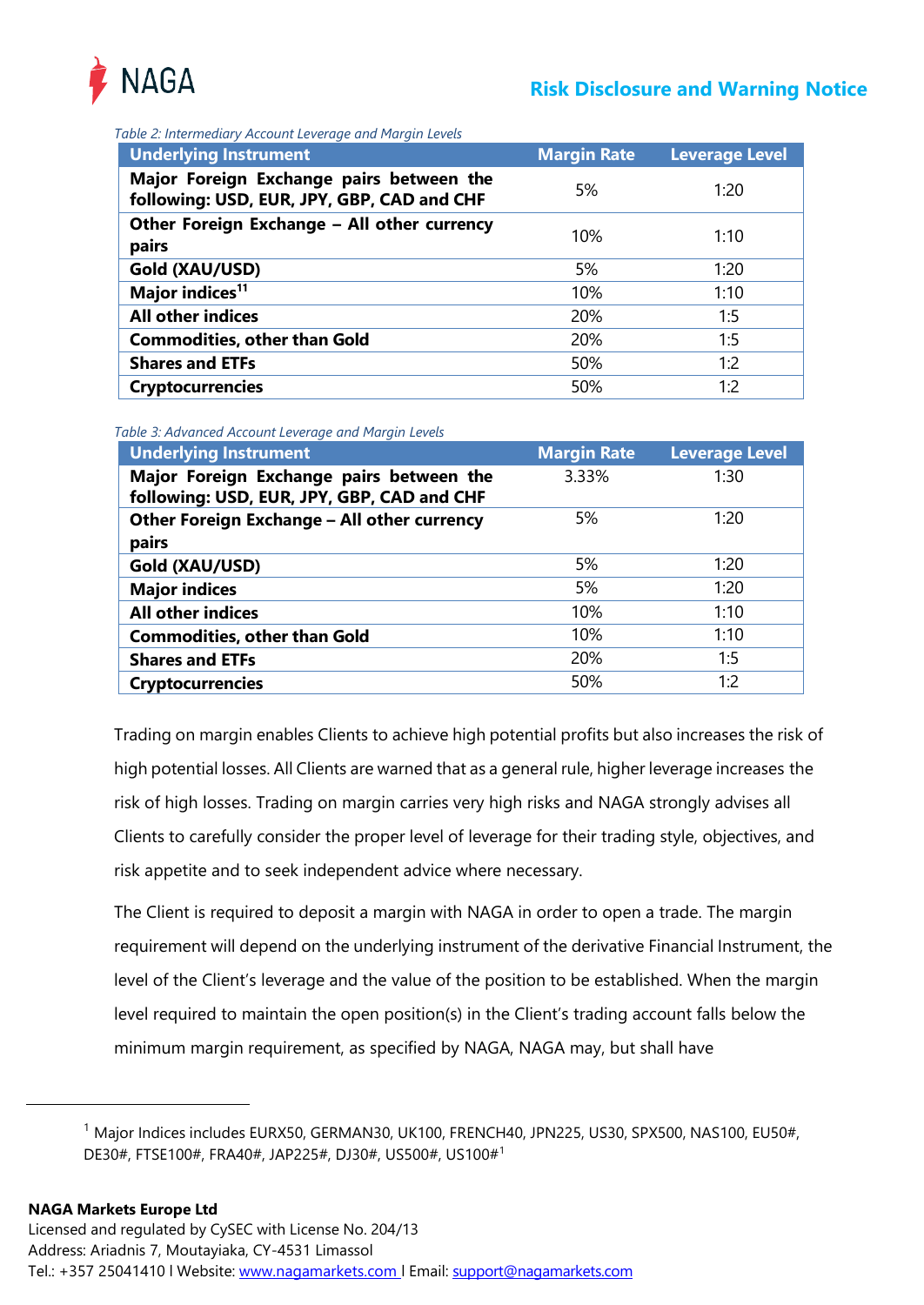

*Table 2: Intermediary Account Leverage and Margin Levels*

| <b>Underlying Instrument</b>                                                           | <b>Margin Rate</b> | <b>Leverage Level</b> |
|----------------------------------------------------------------------------------------|--------------------|-----------------------|
| Major Foreign Exchange pairs between the<br>following: USD, EUR, JPY, GBP, CAD and CHF | 5%                 | 1:20                  |
| Other Foreign Exchange - All other currency<br>pairs                                   | 10%                | 1:10                  |
| Gold (XAU/USD)                                                                         | 5%                 | 1:20                  |
| Major indices <sup>11</sup>                                                            | 10%                | 1:10                  |
| <b>All other indices</b>                                                               | 20%                | 1:5                   |
| <b>Commodities, other than Gold</b>                                                    | 20%                | 1:5                   |
| <b>Shares and ETFs</b>                                                                 | 50%                | 1:2                   |
| <b>Cryptocurrencies</b>                                                                | 50%                | 1:2                   |

<span id="page-6-0"></span>*Table 3: Advanced Account Leverage and Margin Levels*

| <b>Underlying Instrument</b>                                                           | <b>Margin Rate</b> | <b>Leverage Level</b> |
|----------------------------------------------------------------------------------------|--------------------|-----------------------|
| Major Foreign Exchange pairs between the<br>following: USD, EUR, JPY, GBP, CAD and CHF | 3.33%              | 1:30                  |
| Other Foreign Exchange - All other currency<br>pairs                                   | 5%                 | 1:20                  |
| Gold (XAU/USD)                                                                         | 5%                 | 1:20                  |
| <b>Major indices</b>                                                                   | 5%                 | 1:20                  |
| <b>All other indices</b>                                                               | 10%                | 1:10                  |
| <b>Commodities, other than Gold</b>                                                    | 10%                | 1:10                  |
| <b>Shares and ETFs</b>                                                                 | 20%                | 1:5                   |
| <b>Cryptocurrencies</b>                                                                | 50%                | 1:2                   |

Trading on margin enables Clients to achieve high potential profits but also increases the risk of high potential losses. All Clients are warned that as a general rule, higher leverage increases the risk of high losses. Trading on margin carries very high risks and NAGA strongly advises all Clients to carefully consider the proper level of leverage for their trading style, objectives, and risk appetite and to seek independent advice where necessary.

The Client is required to deposit a margin with NAGA in order to open a trade. The margin requirement will depend on the underlying instrument of the derivative Financial Instrument, the level of the Client's leverage and the value of the position to be established. When the margin level required to maintain the open position(s) in the Client's trading account falls below the minimum margin requirement, as specified by NAGA, NAGA may, but shall have

<sup>&</sup>lt;sup>1</sup> Major Indices includes EURX50, GERMAN30, UK100, FRENCH40, JPN225, US30, SPX500, NAS100, EU50#, DE30#, FTSE100#, FRA40#, JAP225#, DJ30#, US500#, US100#1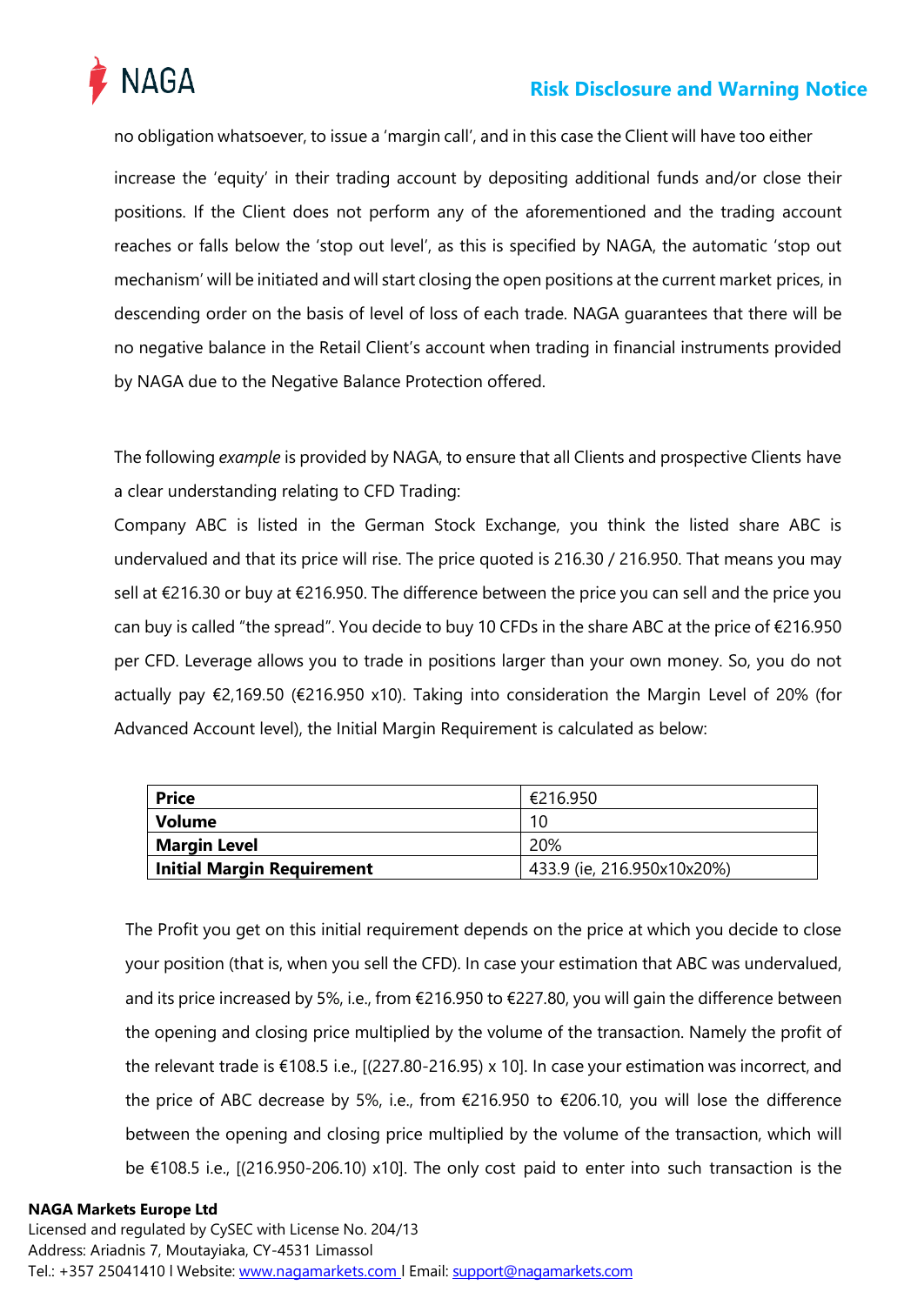

no obligation whatsoever, to issue a 'margin call', and in this case the Client will have too either increase the 'equity' in their trading account by depositing additional funds and/or close their positions. If the Client does not perform any of the aforementioned and the trading account reaches or falls below the 'stop out level', as this is specified by NAGA, the automatic 'stop out mechanism' will be initiated and will start closing the open positions at the current market prices, in descending order on the basis of level of loss of each trade. NAGA guarantees that there will be no negative balance in the Retail Client's account when trading in financial instruments provided by NAGA due to the Negative Balance Protection offered.

The following *example* is provided by NAGA, to ensure that all Clients and prospective Clients have a clear understanding relating to CFD Trading:

Company ABC is listed in the German Stock Exchange, you think the listed share ABC is undervalued and that its price will rise. The price quoted is 216.30 / 216.950. That means you may sell at €216.30 or buy at €216.950. The difference between the price you can sell and the price you can buy is called "the spread". You decide to buy 10 CFDs in the share ABC at the price of €216.950 per CFD. Leverage allows you to trade in positions larger than your own money. So, you do not actually pay €2,169.50 (€216.950 x10). Taking into consideration the Margin Level of 20% (for Advanced Account level), the Initial Margin Requirement is calculated as below:

| <b>Price</b>               | €216.950                   |  |
|----------------------------|----------------------------|--|
| Volume                     | 10                         |  |
| Margin Level               | 20%                        |  |
| Initial Margin Requirement | 433.9 (ie, 216.950x10x20%) |  |

The Profit you get on this initial requirement depends on the price at which you decide to close your position (that is, when you sell the CFD). In case your estimation that ABC was undervalued, and its price increased by 5%, i.e., from €216.950 to €227.80, you will gain the difference between the opening and closing price multiplied by the volume of the transaction. Namely the profit of the relevant trade is €108.5 i.e., [(227.80-216.95) x 10]. In case your estimation was incorrect, and the price of ABC decrease by 5%, i.e., from €216.950 to €206.10, you will lose the difference between the opening and closing price multiplied by the volume of the transaction, which will be €108.5 i.e., [(216.950-206.10) x10]. The only cost paid to enter into such transaction is the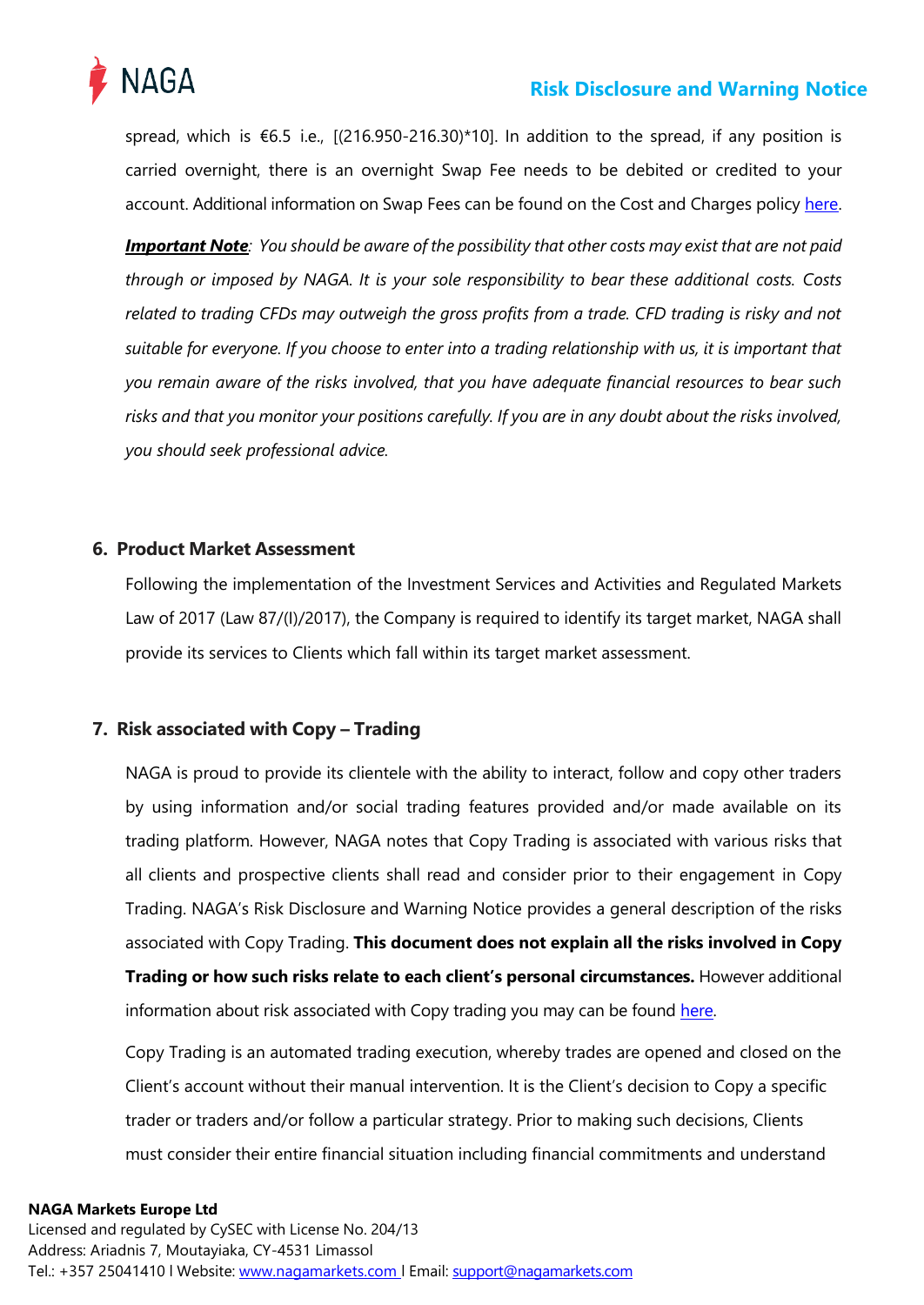

spread, which is €6.5 i.e., [(216.950-216.30)\*10]. In addition to the spread, if any position is carried overnight, there is an overnight Swap Fee needs to be debited or credited to your account. Additional information on Swap Fees can be found on the Cost and Charges policy [here.](https://nagamarkets.com/legal-documentation)

**Important Note**: You should be aware of the possibility that other costs may exist that are not paid *through or imposed by NAGA. It is your sole responsibility to bear these additional costs. Costs related to trading CFDs may outweigh the gross profits from a trade. CFD trading is risky and not suitable for everyone. If you choose to enter into a trading relationship with us, it is important that you remain aware of the risks involved, that you have adequate financial resources to bear such risks and that you monitor your positions carefully. If you are in any doubt about the risks involved, you should seek professional advice.*

## <span id="page-8-0"></span>**6. Product Market Assessment**

Following the implementation of the Investment Services and Activities and Regulated Markets Law of 2017 (Law 87/(I)/2017), the Company is required to identify its target market, NAGA shall provide its services to Clients which fall within its target market assessment.

## <span id="page-8-1"></span>**7. Risk associated with Copy – Trading**

NAGA is proud to provide its clientele with the ability to interact, follow and copy other traders by using information and/or social trading features provided and/or made available on its trading platform. However, NAGA notes that Copy Trading is associated with various risks that all clients and prospective clients shall read and consider prior to their engagement in Copy Trading. NAGA's Risk Disclosure and Warning Notice provides a general description of the risks associated with Copy Trading. **This document does not explain all the risks involved in Copy Trading or how such risks relate to each client's personal circumstances.** However additional information about risk associated with Copy trading you may can be found [here.](https://nagamarkets.com/auto-invest/auto-copy)

Copy Trading is an automated trading execution, whereby trades are opened and closed on the Client's account without their manual intervention. It is the Client's decision to Copy a specific trader or traders and/or follow a particular strategy. Prior to making such decisions, Clients must consider their entire financial situation including financial commitments and understand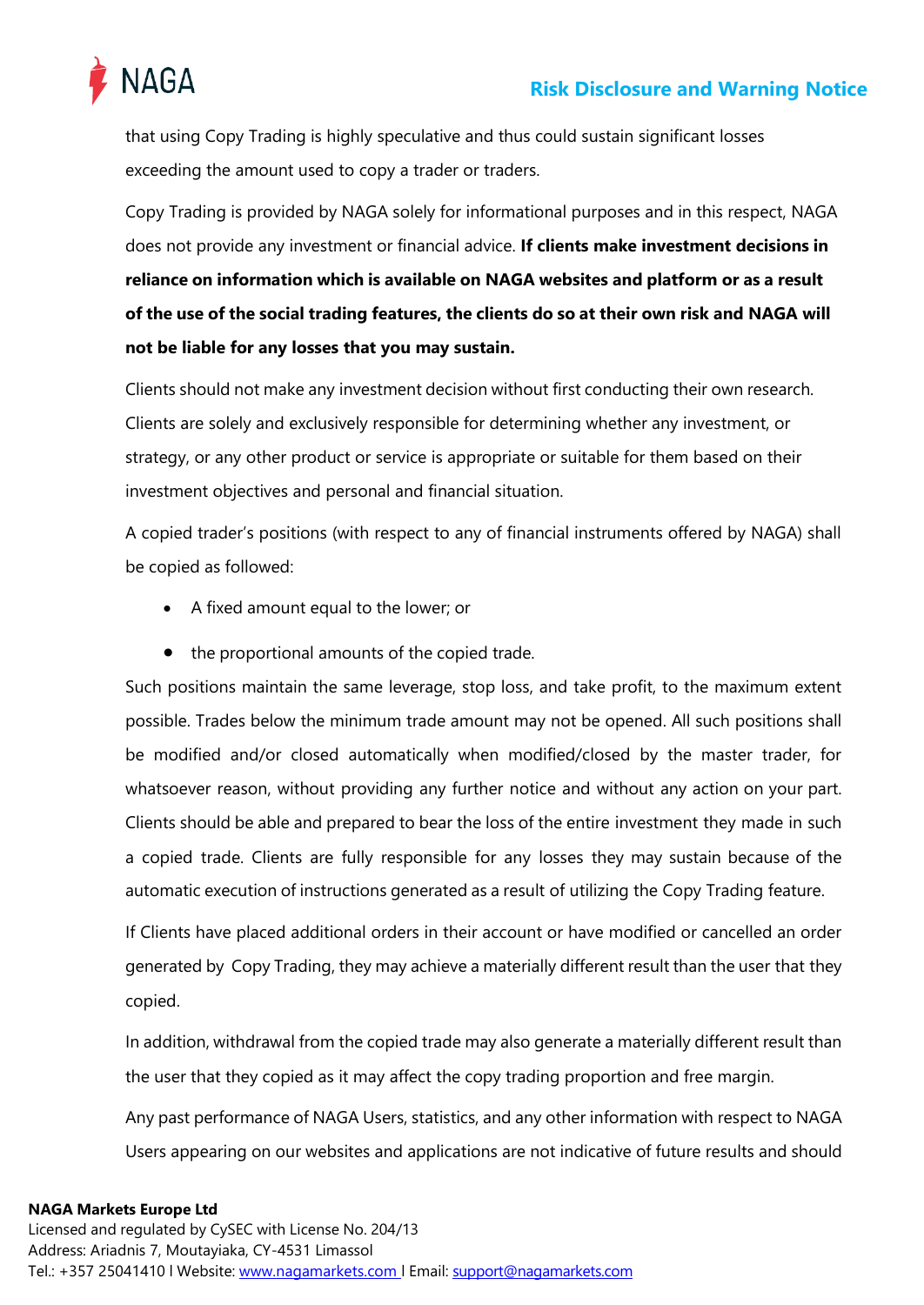

that using Copy Trading is highly speculative and thus could sustain significant losses exceeding the amount used to copy a trader or traders.

Copy Trading is provided by NAGA solely for informational purposes and in this respect, NAGA does not provide any investment or financial advice. **If clients make investment decisions in reliance on information which is available on NAGA websites and platform or as a result of the use of the social trading features, the clients do so at their own risk and NAGA will not be liable for any losses that you may sustain.**

Clients should not make any investment decision without first conducting their own research. Clients are solely and exclusively responsible for determining whether any investment, or strategy, or any other product or service is appropriate or suitable for them based on their investment objectives and personal and financial situation.

A copied trader's positions (with respect to any of financial instruments offered by NAGA) shall be copied as followed:

- A fixed amount equal to the lower; or
- the proportional amounts of the copied trade.

Such positions maintain the same leverage, stop loss, and take profit, to the maximum extent possible. Trades below the minimum trade amount may not be opened. All such positions shall be modified and/or closed automatically when modified/closed by the master trader, for whatsoever reason, without providing any further notice and without any action on your part. Clients should be able and prepared to bear the loss of the entire investment they made in such a copied trade. Clients are fully responsible for any losses they may sustain because of the automatic execution of instructions generated as a result of utilizing the Copy Trading feature.

If Clients have placed additional orders in their account or have modified or cancelled an order generated by Copy Trading, they may achieve a materially different result than the user that they copied.

In addition, withdrawal from the copied trade may also generate a materially different result than the user that they copied as it may affect the copy trading proportion and free margin.

Any past performance of NAGA Users, statistics, and any other information with respect to NAGA Users appearing on our websites and applications are not indicative of future results and should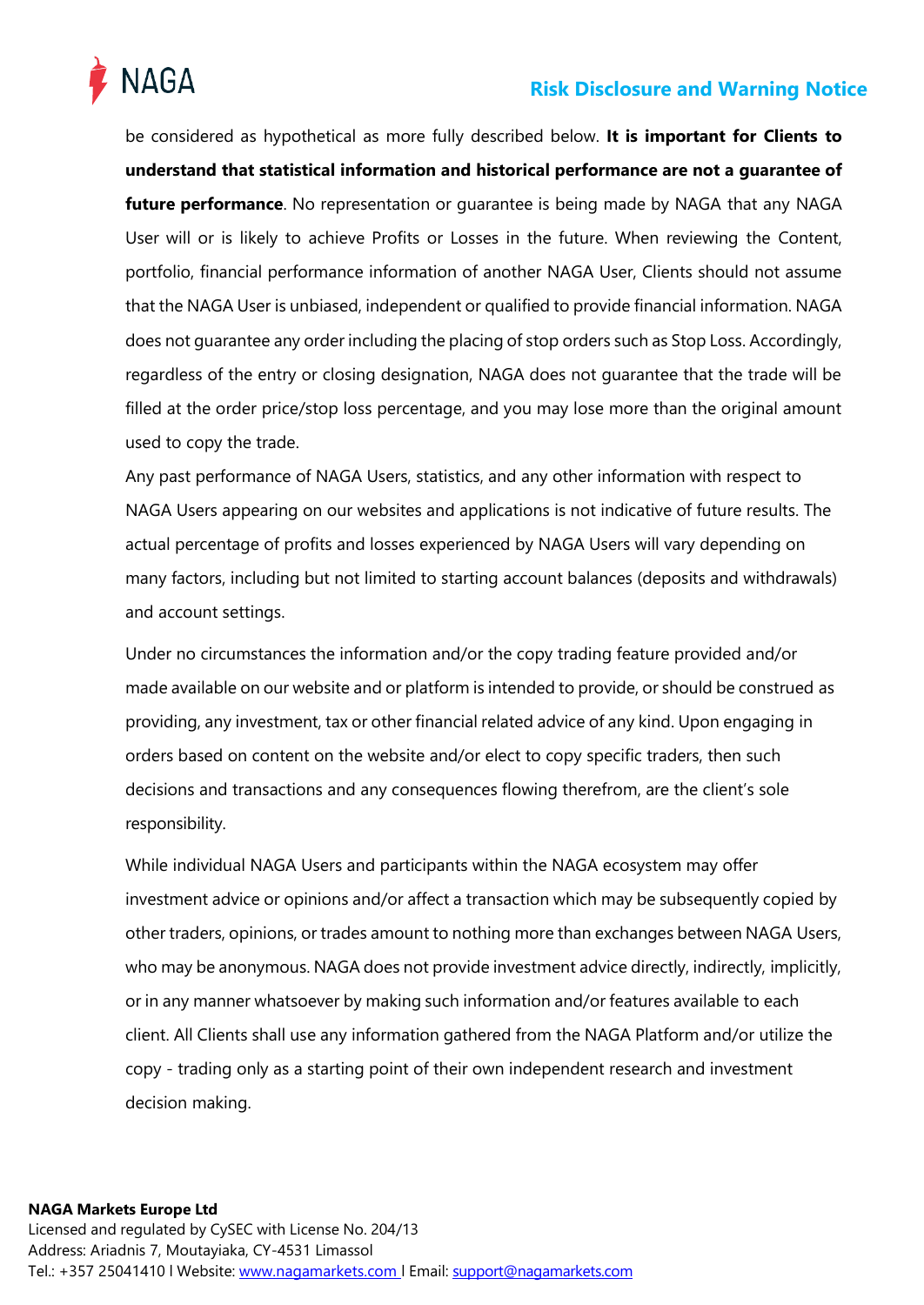

be considered as hypothetical as more fully described below. **It is important for Clients to understand that statistical information and historical performance are not a guarantee of future performance**. No representation or guarantee is being made by NAGA that any NAGA User will or is likely to achieve Profits or Losses in the future. When reviewing the Content, portfolio, financial performance information of another NAGA User, Clients should not assume that the NAGA User is unbiased, independent or qualified to provide financial information. NAGA does not guarantee any order including the placing of stop orders such as Stop Loss. Accordingly, regardless of the entry or closing designation, NAGA does not guarantee that the trade will be filled at the order price/stop loss percentage, and you may lose more than the original amount used to copy the trade.

Any past performance of NAGA Users, statistics, and any other information with respect to NAGA Users appearing on our websites and applications is not indicative of future results. The actual percentage of profits and losses experienced by NAGA Users will vary depending on many factors, including but not limited to starting account balances (deposits and withdrawals) and account settings.

Under no circumstances the information and/or the copy trading feature provided and/or made available on our website and or platform is intended to provide, or should be construed as providing, any investment, tax or other financial related advice of any kind. Upon engaging in orders based on content on the website and/or elect to copy specific traders, then such decisions and transactions and any consequences flowing therefrom, are the client's sole responsibility.

While individual NAGA Users and participants within the NAGA ecosystem may offer investment advice or opinions and/or affect a transaction which may be subsequently copied by other traders, opinions, or trades amount to nothing more than exchanges between NAGA Users, who may be anonymous. NAGA does not provide investment advice directly, indirectly, implicitly, or in any manner whatsoever by making such information and/or features available to each client. All Clients shall use any information gathered from the NAGA Platform and/or utilize the copy - trading only as a starting point of their own independent research and investment decision making.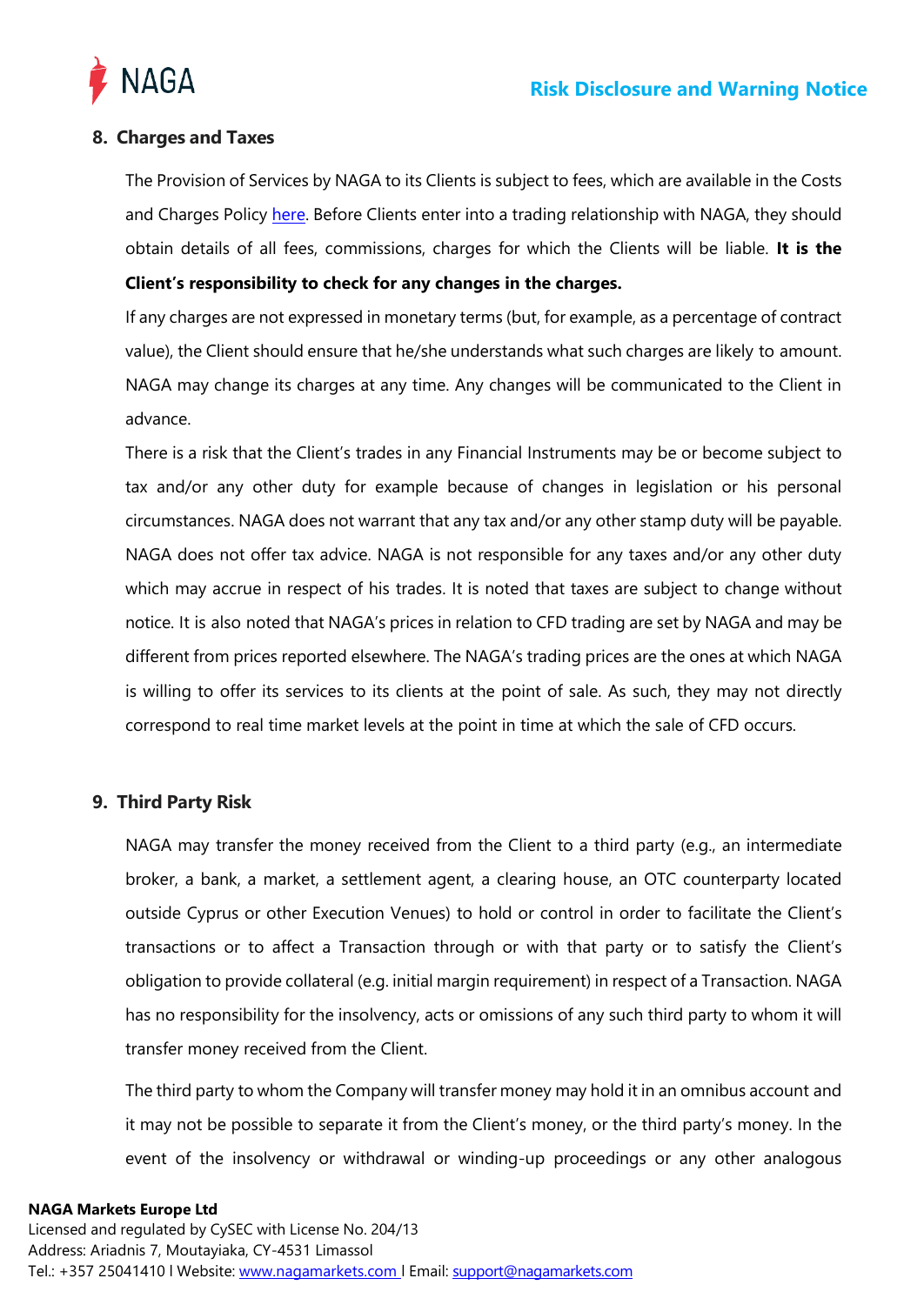

# <span id="page-11-0"></span>**8. Charges and Taxes**

The Provision of Services by NAGA to its Clients is subject to fees, which are available in the Costs and Charges Policy [here. B](https://nagamarkets.com/legal-documentation)efore Clients enter into a trading relationship with NAGA, they should obtain details of all fees, commissions, charges for which the Clients will be liable. **It is the Client's responsibility to check for any changes in the charges.**

If any charges are not expressed in monetary terms (but, for example, as a percentage of contract value), the Client should ensure that he/she understands what such charges are likely to amount. NAGA may change its charges at any time. Any changes will be communicated to the Client in advance.

There is a risk that the Client's trades in any Financial Instruments may be or become subject to tax and/or any other duty for example because of changes in legislation or his personal circumstances. NAGA does not warrant that any tax and/or any other stamp duty will be payable. NAGA does not offer tax advice. NAGA is not responsible for any taxes and/or any other duty which may accrue in respect of his trades. It is noted that taxes are subject to change without notice. It is also noted that NAGA's prices in relation to CFD trading are set by NAGA and may be different from prices reported elsewhere. The NAGA's trading prices are the ones at which NAGA is willing to offer its services to its clients at the point of sale. As such, they may not directly correspond to real time market levels at the point in time at which the sale of CFD occurs.

## <span id="page-11-1"></span>**9. Third Party Risk**

NAGA may transfer the money received from the Client to a third party (e.g., an intermediate broker, a bank, a market, a settlement agent, a clearing house, an OTC counterparty located outside Cyprus or other Execution Venues) to hold or control in order to facilitate the Client's transactions or to affect a Transaction through or with that party or to satisfy the Client's obligation to provide collateral (e.g. initial margin requirement) in respect of a Transaction. NAGA has no responsibility for the insolvency, acts or omissions of any such third party to whom it will transfer money received from the Client.

The third party to whom the Company will transfer money may hold it in an omnibus account and it may not be possible to separate it from the Client's money, or the third party's money. In the event of the insolvency or withdrawal or winding-up proceedings or any other analogous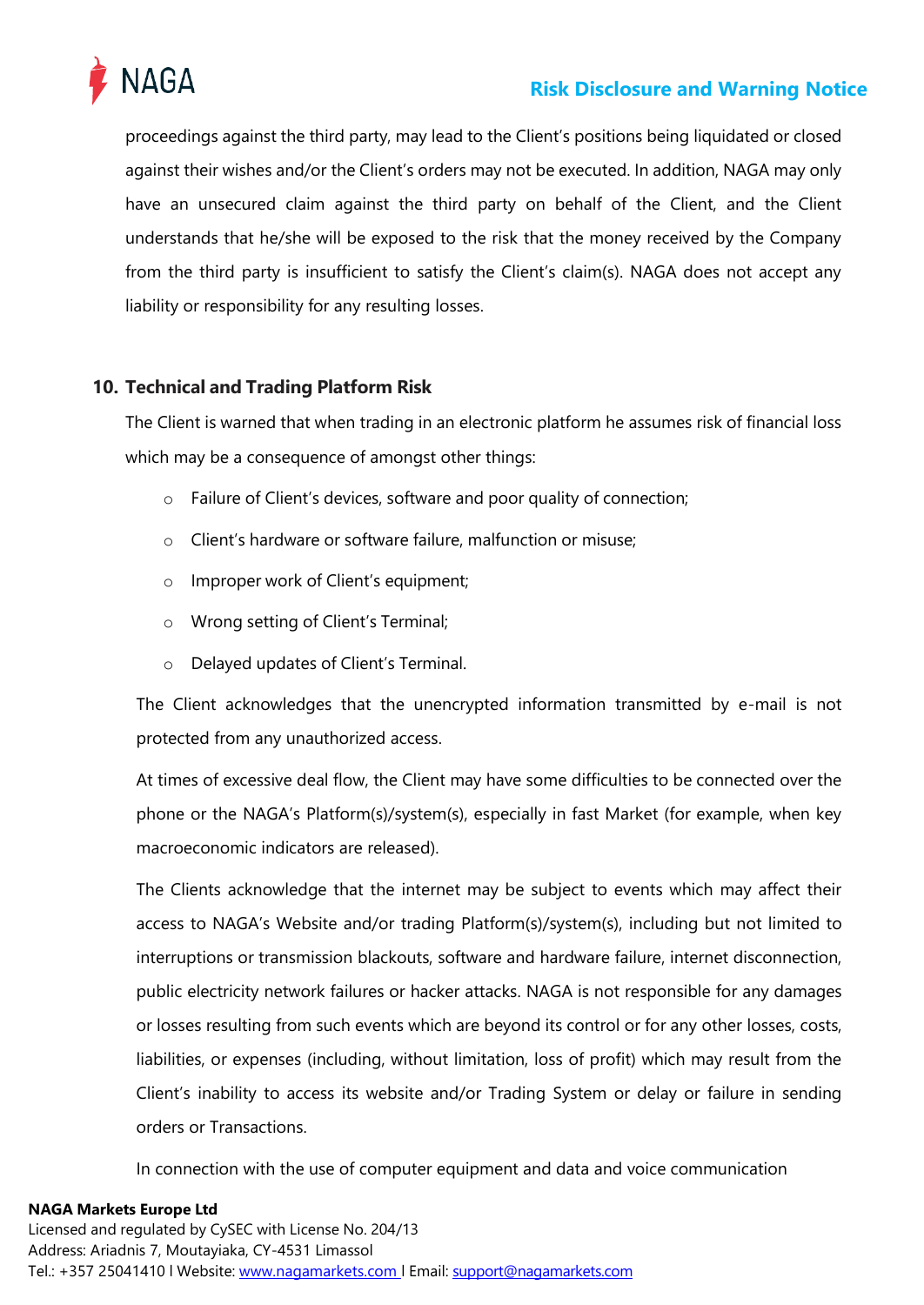

proceedings against the third party, may lead to the Client's positions being liquidated or closed against their wishes and/or the Client's orders may not be executed. In addition, NAGA may only have an unsecured claim against the third party on behalf of the Client, and the Client understands that he/she will be exposed to the risk that the money received by the Company from the third party is insufficient to satisfy the Client's claim(s). NAGA does not accept any liability or responsibility for any resulting losses.

# <span id="page-12-0"></span>**10. Technical and Trading Platform Risk**

The Client is warned that when trading in an electronic platform he assumes risk of financial loss which may be a consequence of amongst other things:

- o Failure of Client's devices, software and poor quality of connection;
- o Client's hardware or software failure, malfunction or misuse;
- o Improper work of Client's equipment;
- o Wrong setting of Client's Terminal;
- o Delayed updates of Client's Terminal.

The Client acknowledges that the unencrypted information transmitted by e-mail is not protected from any unauthorized access.

At times of excessive deal flow, the Client may have some difficulties to be connected over the phone or the NAGA's Platform(s)/system(s), especially in fast Market (for example, when key macroeconomic indicators are released).

The Clients acknowledge that the internet may be subject to events which may affect their access to NAGA's Website and/or trading Platform(s)/system(s), including but not limited to interruptions or transmission blackouts, software and hardware failure, internet disconnection, public electricity network failures or hacker attacks. NAGA is not responsible for any damages or losses resulting from such events which are beyond its control or for any other losses, costs, liabilities, or expenses (including, without limitation, loss of profit) which may result from the Client's inability to access its website and/or Trading System or delay or failure in sending orders or Transactions.

In connection with the use of computer equipment and data and voice communication

## **NAGA Markets Europe Ltd**

Licensed and regulated by CySEC with License No. 204/13 Address: Ariadnis 7, Moutayiaka, CY-4531 Limassol Tel.: +357 25041410 l Website: www.nagamarkets.com | Email: [support@nagamarkets.com](mailto:support@nagamarkets.com)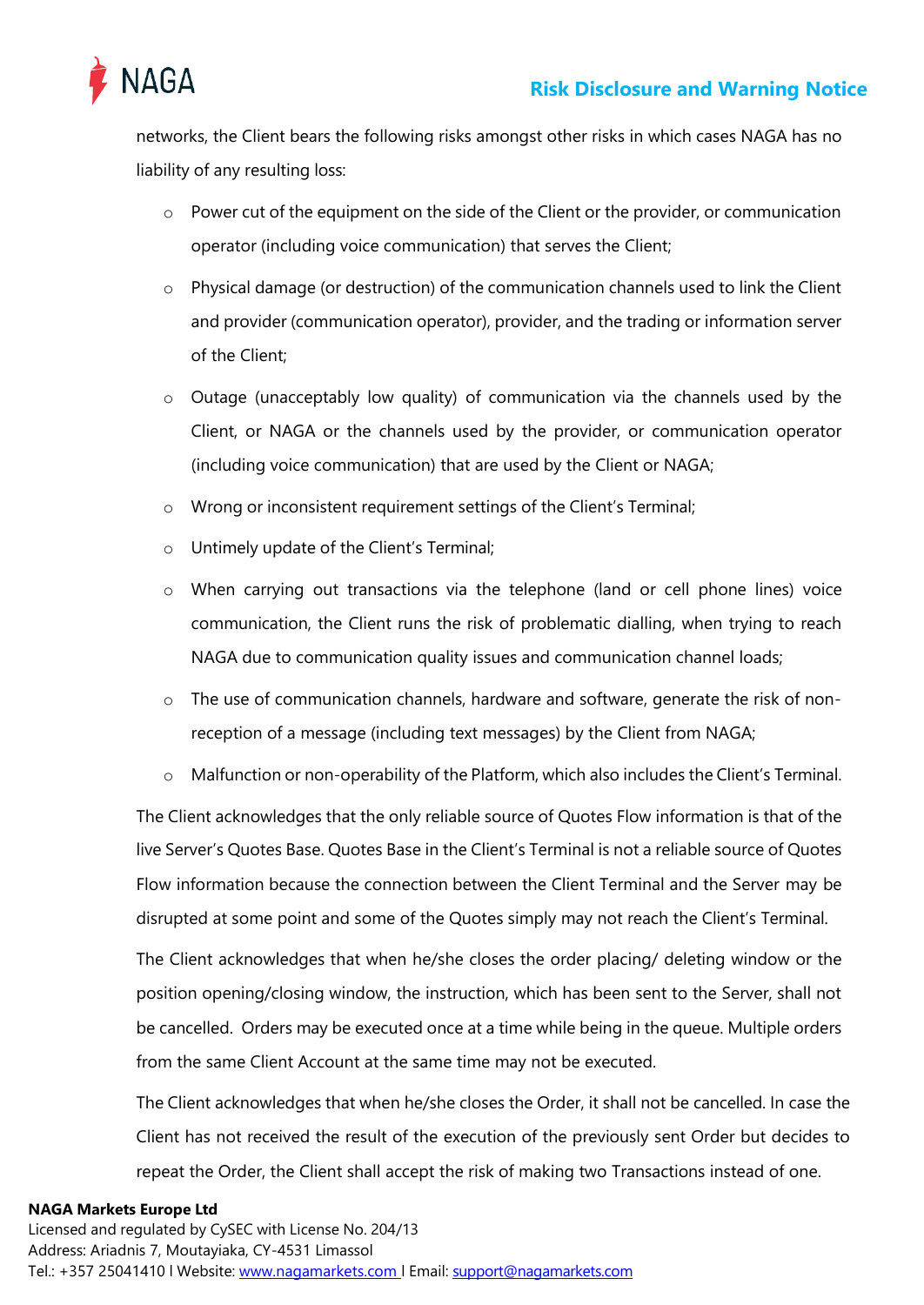

networks, the Client bears the following risks amongst other risks in which cases NAGA has no liability of any resulting loss:

- $\circ$  Power cut of the equipment on the side of the Client or the provider, or communication operator (including voice communication) that serves the Client;
- $\circ$  Physical damage (or destruction) of the communication channels used to link the Client and provider (communication operator), provider, and the trading or information server of the Client;
- o Outage (unacceptably low quality) of communication via the channels used by the Client, or NAGA or the channels used by the provider, or communication operator (including voice communication) that are used by the Client or NAGA;
- o Wrong or inconsistent requirement settings of the Client's Terminal;
- o Untimely update of the Client's Terminal;
- o When carrying out transactions via the telephone (land or cell phone lines) voice communication, the Client runs the risk of problematic dialling, when trying to reach NAGA due to communication quality issues and communication channel loads;
- $\circ$  The use of communication channels, hardware and software, generate the risk of nonreception of a message (including text messages) by the Client from NAGA;
- o Malfunction or non-operability of the Platform, which also includes the Client's Terminal.

The Client acknowledges that the only reliable source of Quotes Flow information is that of the live Server's Quotes Base. Quotes Base in the Client's Terminal is not a reliable source of Quotes Flow information because the connection between the Client Terminal and the Server may be disrupted at some point and some of the Quotes simply may not reach the Client's Terminal.

The Client acknowledges that when he/she closes the order placing/ deleting window or the position opening/closing window, the instruction, which has been sent to the Server, shall not be cancelled. Orders may be executed once at a time while being in the queue. Multiple orders from the same Client Account at the same time may not be executed.

The Client acknowledges that when he/she closes the Order, it shall not be cancelled. In case the Client has not received the result of the execution of the previously sent Order but decides to repeat the Order, the Client shall accept the risk of making two Transactions instead of one.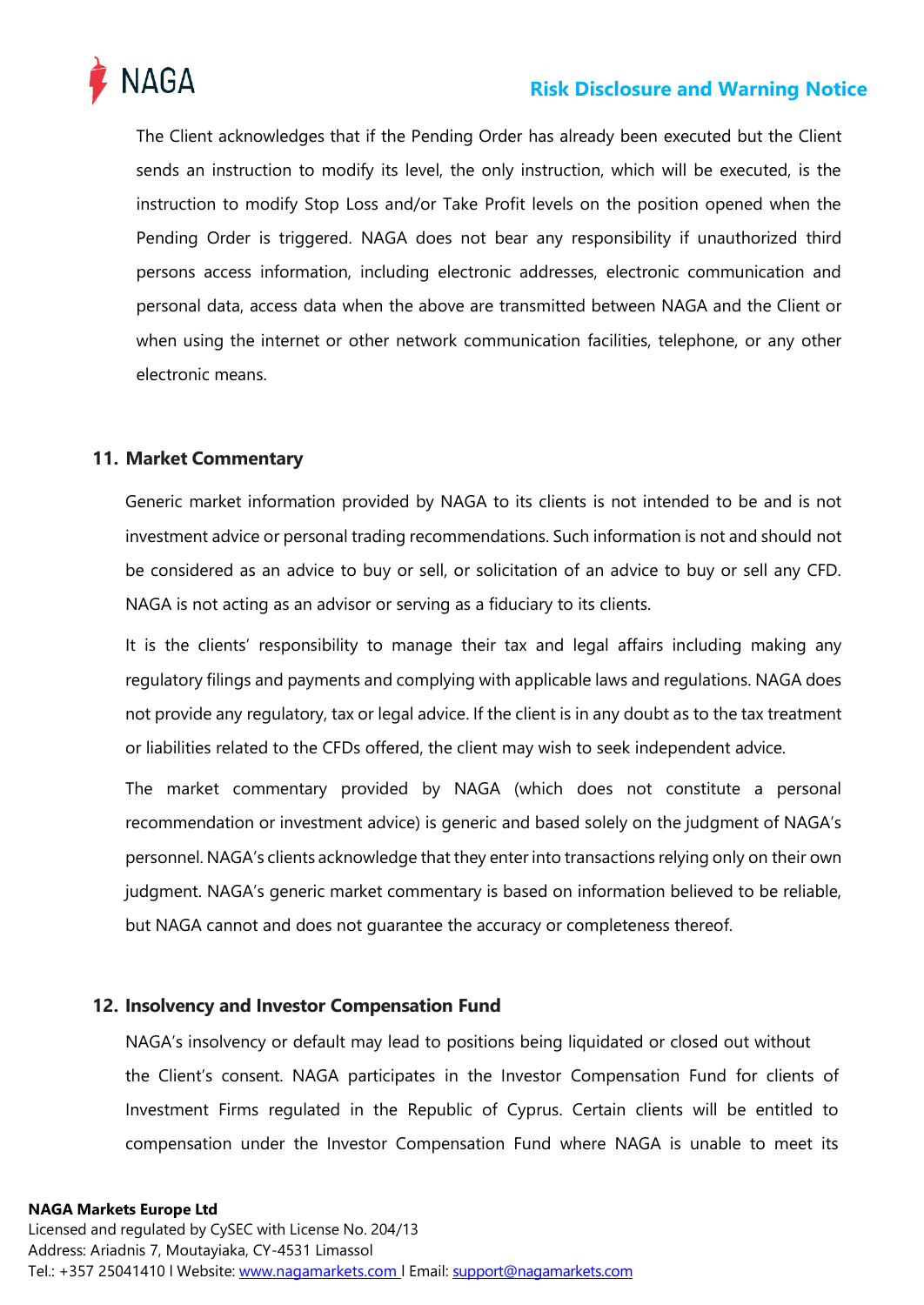

The Client acknowledges that if the Pending Order has already been executed but the Client sends an instruction to modify its level, the only instruction, which will be executed, is the instruction to modify Stop Loss and/or Take Profit levels on the position opened when the Pending Order is triggered. NAGA does not bear any responsibility if unauthorized third persons access information, including electronic addresses, electronic communication and personal data, access data when the above are transmitted between NAGA and the Client or when using the internet or other network communication facilities, telephone, or any other electronic means.

## <span id="page-14-0"></span>**11. Market Commentary**

Generic market information provided by NAGA to its clients is not intended to be and is not investment advice or personal trading recommendations. Such information is not and should not be considered as an advice to buy or sell, or solicitation of an advice to buy or sell any CFD. NAGA is not acting as an advisor or serving as a fiduciary to its clients.

It is the clients' responsibility to manage their tax and legal affairs including making any regulatory filings and payments and complying with applicable laws and regulations. NAGA does not provide any regulatory, tax or legal advice. If the client is in any doubt as to the tax treatment or liabilities related to the CFDs offered, the client may wish to seek independent advice.

The market commentary provided by NAGA (which does not constitute a personal recommendation or investment advice) is generic and based solely on the judgment of NAGA's personnel. NAGA's clients acknowledge that they enterinto transactions relying only on their own judgment. NAGA's generic market commentary is based on information believed to be reliable, but NAGA cannot and does not guarantee the accuracy or completeness thereof.

## <span id="page-14-1"></span>**12. Insolvency and Investor Compensation Fund**

NAGA's insolvency or default may lead to positions being liquidated or closed out without the Client's consent. NAGA participates in the Investor Compensation Fund for clients of Investment Firms regulated in the Republic of Cyprus. Certain clients will be entitled to compensation under the Investor Compensation Fund where NAGA is unable to meet its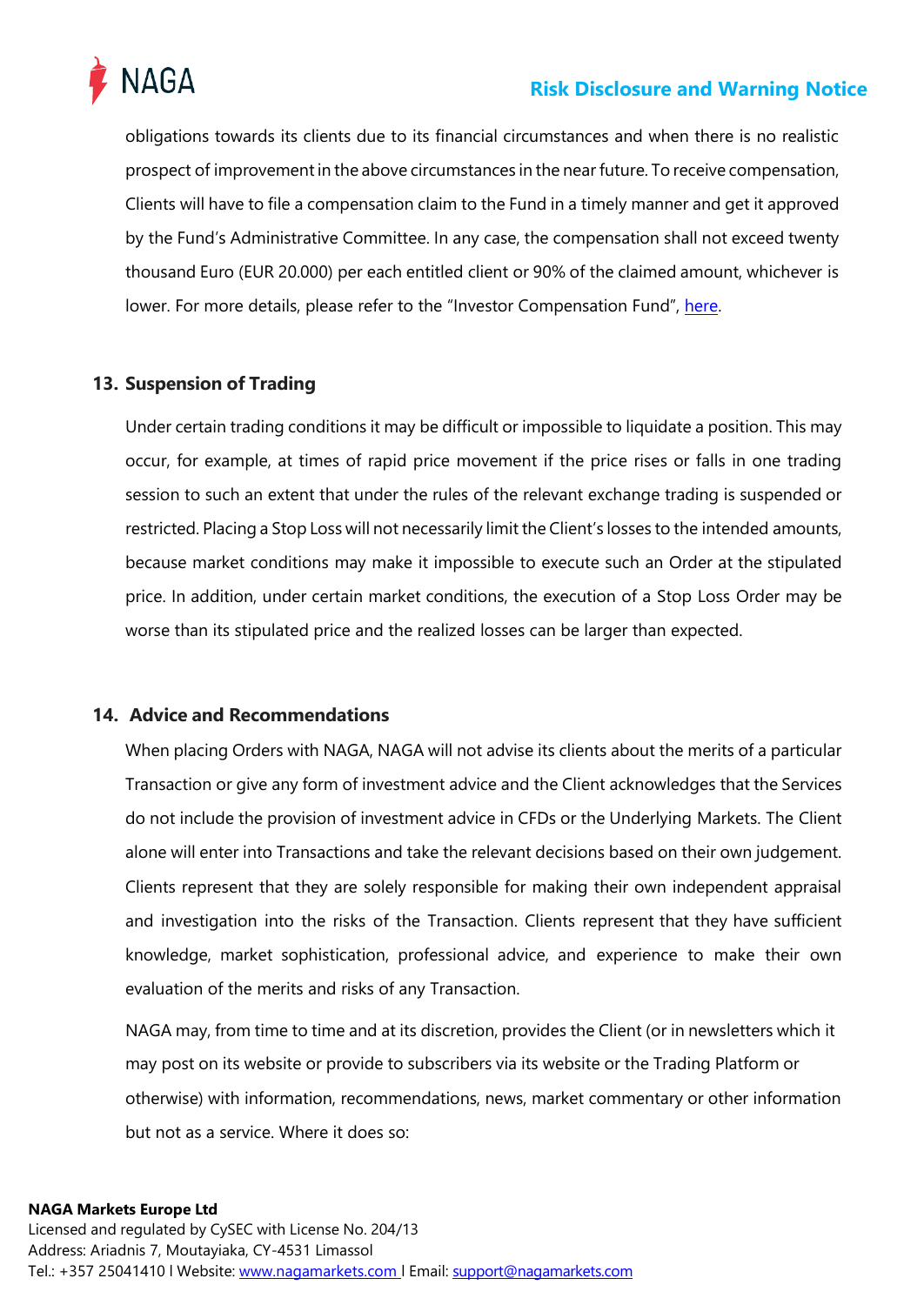

obligations towards its clients due to its financial circumstances and when there is no realistic prospect of improvementin the above circumstances in the near future. To receive compensation, Clients will have to file a compensation claim to the Fund in a timely manner and get it approved by the Fund's Administrative Committee. In any case, the compensation shall not exceed twenty thousand Euro (EUR 20.000) per each entitled client or 90% of the claimed amount, whichever is lower. For more details, please refer to the "Investor Compensation Fund", [here.](https://nagamarkets.com/legal-documentation)

## <span id="page-15-0"></span>**13. Suspension of Trading**

Under certain trading conditions it may be difficult or impossible to liquidate a position. This may occur, for example, at times of rapid price movement if the price rises or falls in one trading session to such an extent that under the rules of the relevant exchange trading is suspended or restricted. Placing a Stop Loss will not necessarily limit the Client's losses to the intended amounts, because market conditions may make it impossible to execute such an Order at the stipulated price. In addition, under certain market conditions, the execution of a Stop Loss Order may be worse than its stipulated price and the realized losses can be larger than expected.

## <span id="page-15-1"></span>**14. Advice and Recommendations**

When placing Orders with NAGA, NAGA will not advise its clients about the merits of a particular Transaction or give any form of investment advice and the Client acknowledges that the Services do not include the provision of investment advice in CFDs or the Underlying Markets. The Client alone will enter into Transactions and take the relevant decisions based on their own judgement. Clients represent that they are solely responsible for making their own independent appraisal and investigation into the risks of the Transaction. Clients represent that they have sufficient knowledge, market sophistication, professional advice, and experience to make their own evaluation of the merits and risks of any Transaction.

NAGA may, from time to time and at its discretion, provides the Client (or in newsletters which it may post on its website or provide to subscribers via its website or the Trading Platform or otherwise) with information, recommendations, news, market commentary or other information but not as a service. Where it does so: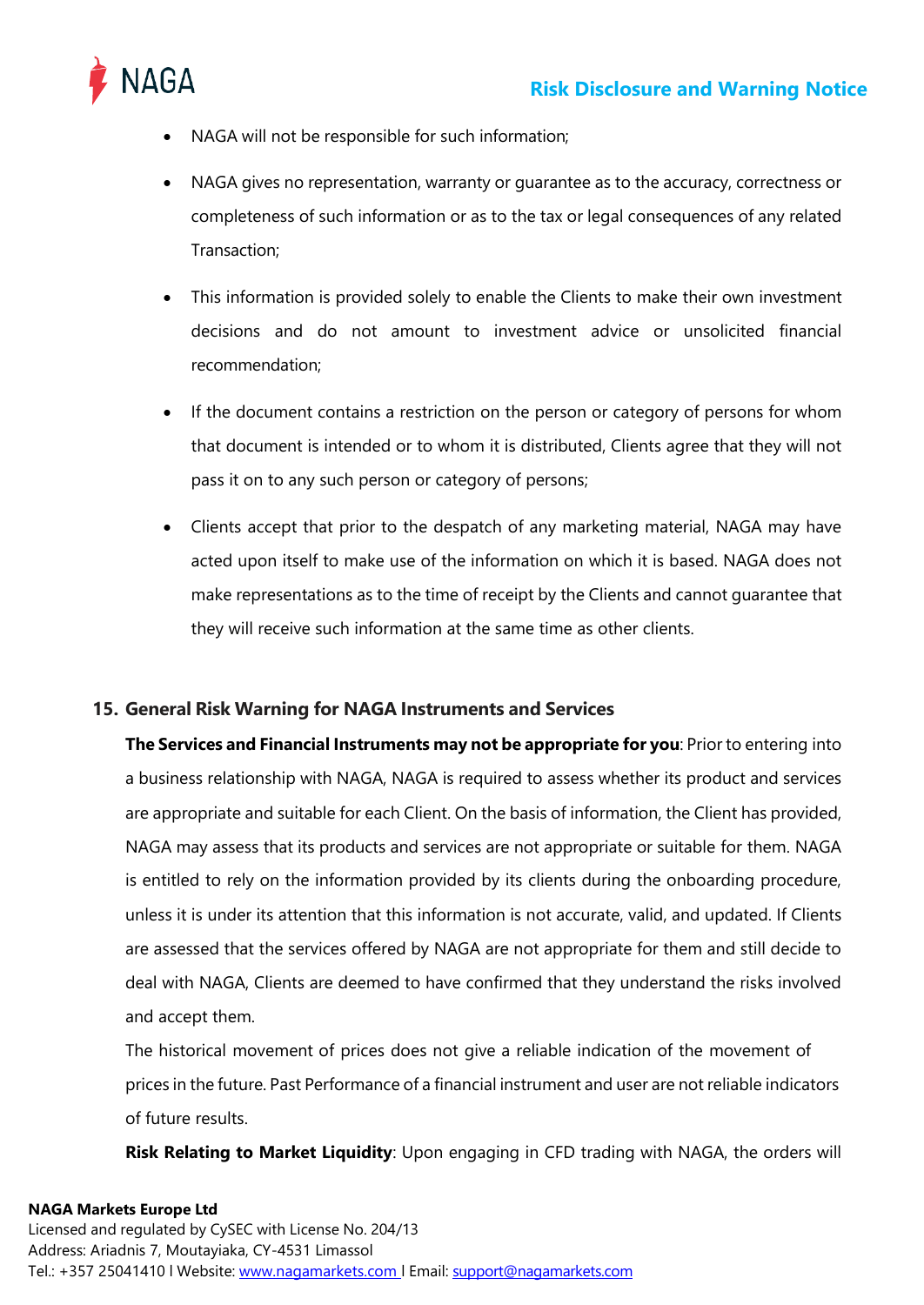

- NAGA will not be responsible for such information;
- NAGA gives no representation, warranty or guarantee as to the accuracy, correctness or completeness of such information or as to the tax or legal consequences of any related Transaction;
- This information is provided solely to enable the Clients to make their own investment decisions and do not amount to investment advice or unsolicited financial recommendation;
- If the document contains a restriction on the person or category of persons for whom that document is intended or to whom it is distributed, Clients agree that they will not pass it on to any such person or category of persons;
- Clients accept that prior to the despatch of any marketing material, NAGA may have acted upon itself to make use of the information on which it is based. NAGA does not make representations as to the time of receipt by the Clients and cannot guarantee that they will receive such information at the same time as other clients.

## <span id="page-16-0"></span>**15. General Risk Warning for NAGA Instruments and Services**

**The Services and Financial Instruments may not be appropriate for you**: Prior to entering into a business relationship with NAGA, NAGA is required to assess whether its product and services are appropriate and suitable for each Client. On the basis of information, the Client has provided, NAGA may assess that its products and services are not appropriate or suitable for them. NAGA is entitled to rely on the information provided by its clients during the onboarding procedure, unless it is under its attention that this information is not accurate, valid, and updated. If Clients are assessed that the services offered by NAGA are not appropriate for them and still decide to deal with NAGA, Clients are deemed to have confirmed that they understand the risks involved and accept them.

The historical movement of prices does not give a reliable indication of the movement of prices in the future. Past Performance of a financial instrument and user are not reliable indicators of future results.

**Risk Relating to Market Liquidity**: Upon engaging in CFD trading with NAGA, the orders will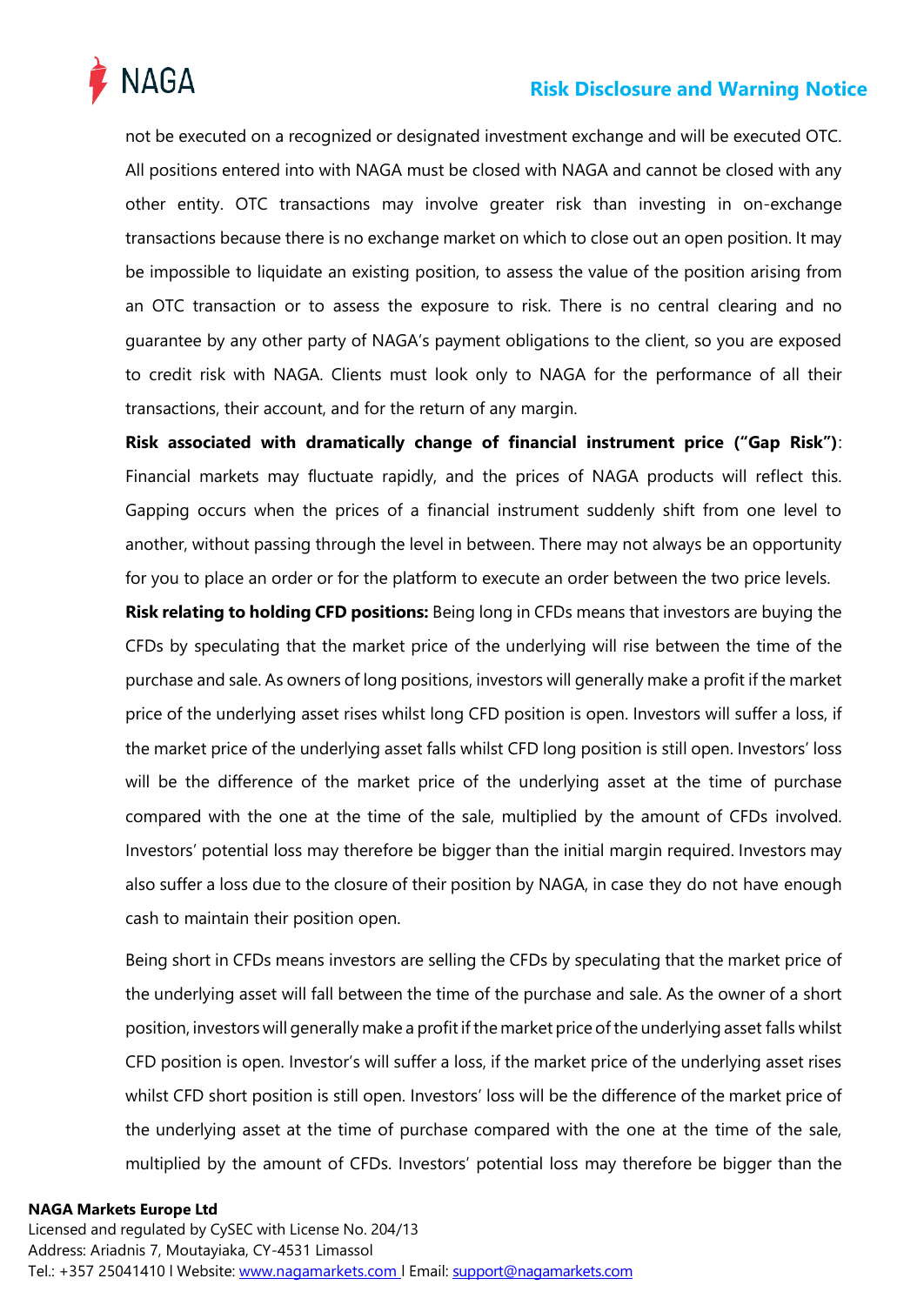

not be executed on a recognized or designated investment exchange and will be executed OTC. All positions entered into with NAGA must be closed with NAGA and cannot be closed with any other entity. OTC transactions may involve greater risk than investing in on-exchange transactions because there is no exchange market on which to close out an open position. It may be impossible to liquidate an existing position, to assess the value of the position arising from an OTC transaction or to assess the exposure to risk. There is no central clearing and no guarantee by any other party of NAGA's payment obligations to the client, so you are exposed to credit risk with NAGA. Clients must look only to NAGA for the performance of all their transactions, their account, and for the return of any margin.

**Risk associated with dramatically change of financial instrument price ("Gap Risk")**: Financial markets may fluctuate rapidly, and the prices of NAGA products will reflect this. Gapping occurs when the prices of a financial instrument suddenly shift from one level to another, without passing through the level in between. There may not always be an opportunity for you to place an order or for the platform to execute an order between the two price levels.

**Risk relating to holding CFD positions:** Being long in CFDs means that investors are buying the CFDs by speculating that the market price of the underlying will rise between the time of the purchase and sale. As owners of long positions, investors will generally make a profit if the market price of the underlying asset rises whilst long CFD position is open. Investors will suffer a loss, if the market price of the underlying asset falls whilst CFD long position is still open. Investors' loss will be the difference of the market price of the underlying asset at the time of purchase compared with the one at the time of the sale, multiplied by the amount of CFDs involved. Investors' potential loss may therefore be bigger than the initial margin required. Investors may also suffer a loss due to the closure of their position by NAGA, in case they do not have enough cash to maintain their position open.

Being short in CFDs means investors are selling the CFDs by speculating that the market price of the underlying asset will fall between the time of the purchase and sale. As the owner of a short position, investors will generally make a profit if the market price of the underlying asset falls whilst CFD position is open. Investor's will suffer a loss, if the market price of the underlying asset rises whilst CFD short position is still open. Investors' loss will be the difference of the market price of the underlying asset at the time of purchase compared with the one at the time of the sale, multiplied by the amount of CFDs. Investors' potential loss may therefore be bigger than the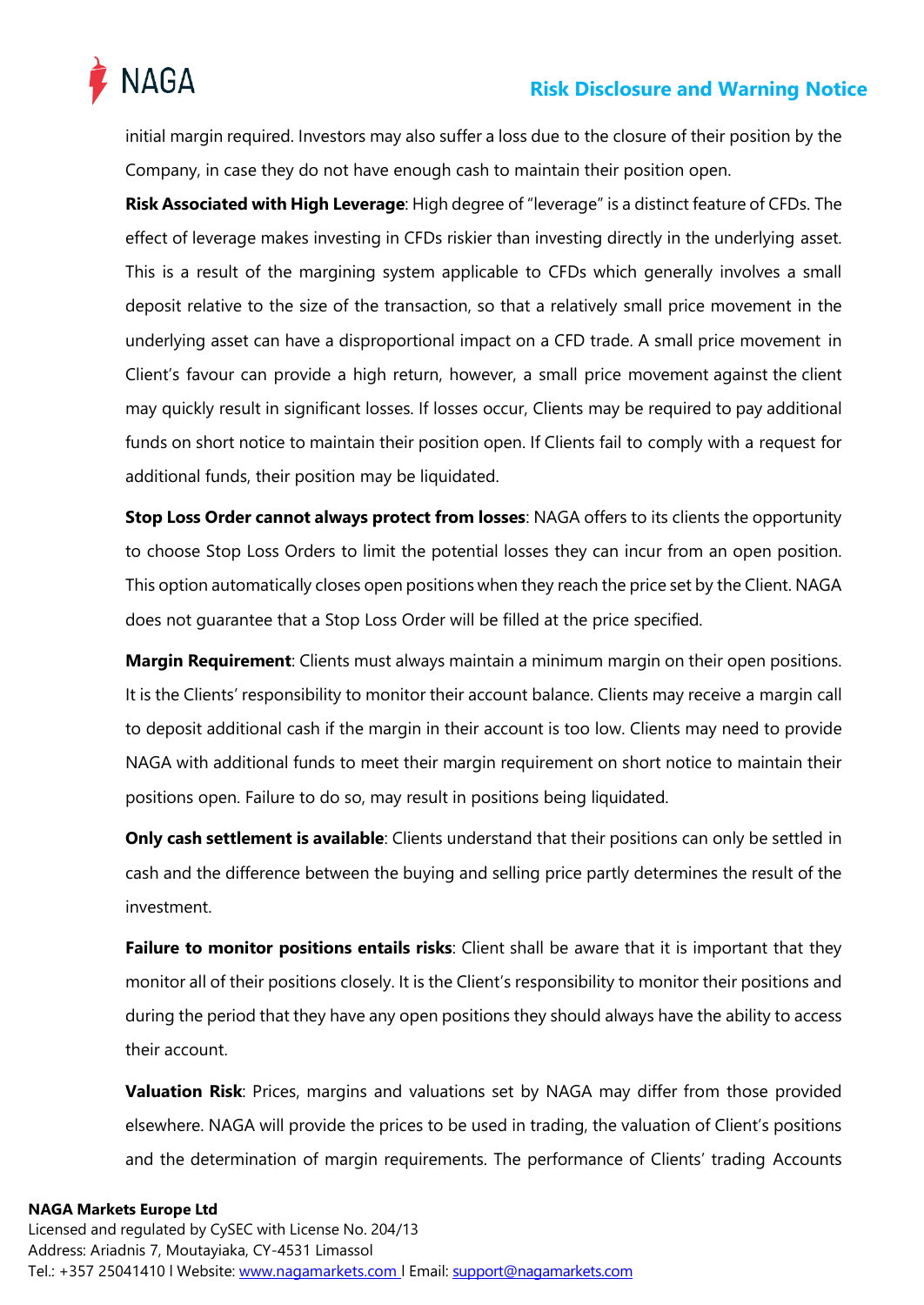



initial margin required. Investors may also suffer a loss due to the closure of their position by the Company, in case they do not have enough cash to maintain their position open.

**Risk Associated with High Leverage**: High degree of "leverage" is a distinct feature of CFDs. The effect of leverage makes investing in CFDs riskier than investing directly in the underlying asset. This is a result of the margining system applicable to CFDs which generally involves a small deposit relative to the size of the transaction, so that a relatively small price movement in the underlying asset can have a disproportional impact on a CFD trade. A small price movement in Client's favour can provide a high return, however, a small price movement against the client may quickly result in significant losses. If losses occur, Clients may be required to pay additional funds on short notice to maintain their position open. If Clients fail to comply with a request for additional funds, their position may be liquidated.

**Stop Loss Order cannot always protect from losses**: NAGA offers to its clients the opportunity to choose Stop Loss Orders to limit the potential losses they can incur from an open position. This option automatically closes open positions when they reach the price set by the Client. NAGA does not guarantee that a Stop Loss Order will be filled at the price specified.

**Margin Requirement**: Clients must always maintain a minimum margin on their open positions. It is the Clients' responsibility to monitor their account balance. Clients may receive a margin call to deposit additional cash if the margin in their account is too low. Clients may need to provide NAGA with additional funds to meet their margin requirement on short notice to maintain their positions open. Failure to do so, may result in positions being liquidated.

**Only cash settlement is available**: Clients understand that their positions can only be settled in cash and the difference between the buying and selling price partly determines the result of the investment.

**Failure to monitor positions entails risks**: Client shall be aware that it is important that they monitor all of their positions closely. It is the Client's responsibility to monitor their positions and during the period that they have any open positions they should always have the ability to access their account.

**Valuation Risk**: Prices, margins and valuations set by NAGA may differ from those provided elsewhere. NAGA will provide the prices to be used in trading, the valuation of Client's positions and the determination of margin requirements. The performance of Clients' trading Accounts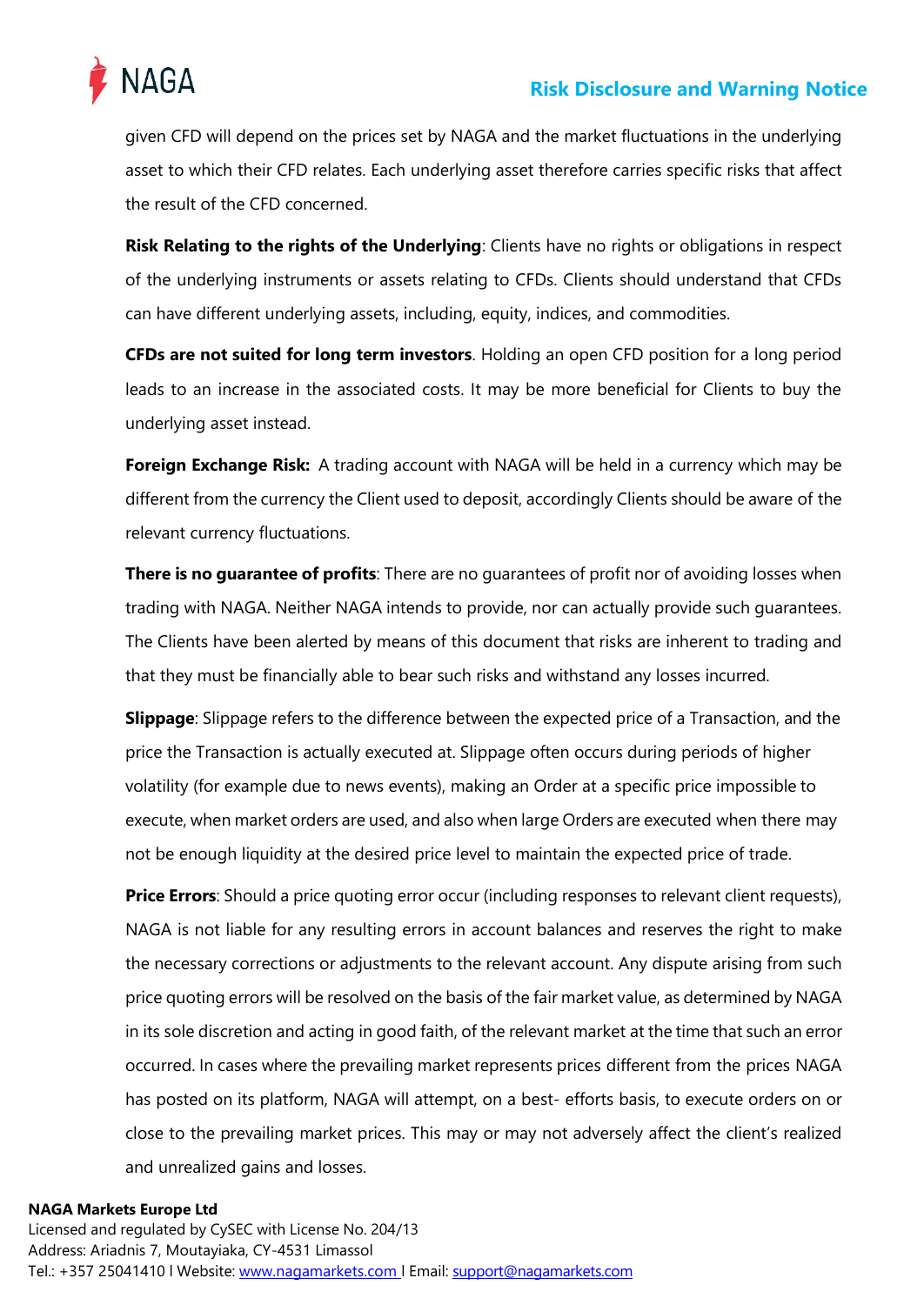

given CFD will depend on the prices set by NAGA and the market fluctuations in the underlying asset to which their CFD relates. Each underlying asset therefore carries specific risks that affect the result of the CFD concerned.

**Risk Relating to the rights of the Underlying**: Clients have no rights or obligations in respect of the underlying instruments or assets relating to CFDs. Clients should understand that CFDs can have different underlying assets, including, equity, indices, and commodities.

**CFDs are not suited for long term investors**. Holding an open CFD position for a long period leads to an increase in the associated costs. It may be more beneficial for Clients to buy the underlying asset instead.

**Foreign Exchange Risk:** A trading account with NAGA will be held in a currency which may be different from the currency the Client used to deposit, accordingly Clients should be aware of the relevant currency fluctuations.

**There is no guarantee of profits**: There are no guarantees of profit nor of avoiding losses when trading with NAGA. Neither NAGA intends to provide, nor can actually provide such guarantees. The Clients have been alerted by means of this document that risks are inherent to trading and that they must be financially able to bear such risks and withstand any losses incurred.

**Slippage**: Slippage refers to the difference between the expected price of a Transaction, and the price the Transaction is actually executed at. Slippage often occurs during periods of higher volatility (for example due to news events), making an Order at a specific price impossible to execute, when market orders are used, and also when large Orders are executed when there may not be enough liquidity at the desired price level to maintain the expected price of trade.

**Price Errors**: Should a price quoting error occur (including responses to relevant client requests), NAGA is not liable for any resulting errors in account balances and reserves the right to make the necessary corrections or adjustments to the relevant account. Any dispute arising from such price quoting errors will be resolved on the basis of the fair market value, as determined by NAGA in its sole discretion and acting in good faith, of the relevant market at the time that such an error occurred. In cases where the prevailing market represents prices different from the prices NAGA has posted on its platform, NAGA will attempt, on a best- efforts basis, to execute orders on or close to the prevailing market prices. This may or may not adversely affect the client's realized and unrealized gains and losses.

## **NAGA Markets Europe Ltd**

Licensed and regulated by CySEC with License No. 204/13 Address: Ariadnis 7, Moutayiaka, CY-4531 Limassol Tel.: +357 25041410 l Website: www.nagamarkets.com | Email: support@nagamarkets.com